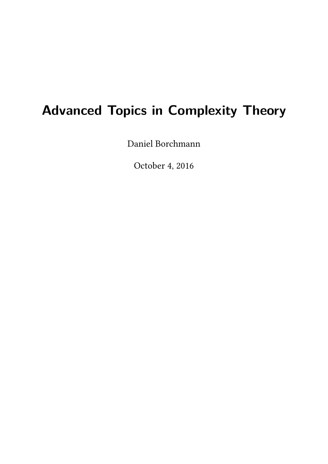# **Advanced Topics in Complexity Theory**

[Daniel Borchmann](http://lat.inf.tu-dresden.de/~borch)

October 4, 2016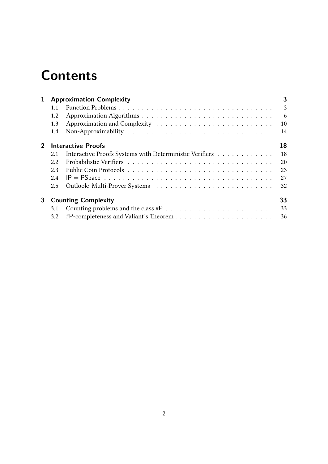# **Contents**

| 1            | <b>Approximation Complexity</b>  |                                                                                                                     |                 |  |
|--------------|----------------------------------|---------------------------------------------------------------------------------------------------------------------|-----------------|--|
|              | 1.1                              |                                                                                                                     | 3               |  |
|              | 1.2                              |                                                                                                                     | $6\overline{6}$ |  |
|              | 1.3                              |                                                                                                                     | 10              |  |
|              | 1.4                              |                                                                                                                     | 14              |  |
| $\mathbf{2}$ | <b>Interactive Proofs</b>        |                                                                                                                     | 18              |  |
|              | 2.1                              | Interactive Proofs Systems with Deterministic Verifiers                                                             | 18              |  |
|              | 2.2                              |                                                                                                                     | 20              |  |
|              | 23                               |                                                                                                                     | 23              |  |
|              | 2.4                              | $IP = PSpace \dots \dots \dots \dots \dots \dots \dots \dots \dots \dots \dots \dots \dots \dots \dots \dots \dots$ | 27              |  |
|              | $2.5^{\circ}$                    |                                                                                                                     | 32              |  |
| 3            | 33<br><b>Counting Complexity</b> |                                                                                                                     |                 |  |
|              | 3.1                              |                                                                                                                     | 33              |  |
|              | 3.2                              |                                                                                                                     |                 |  |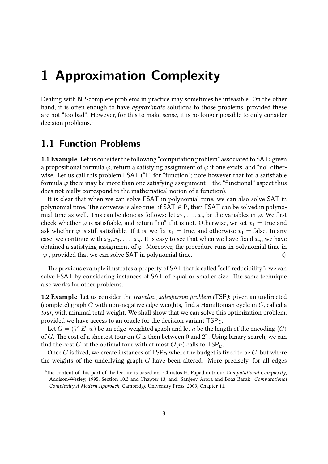## <span id="page-2-0"></span>**1 Approximation Complexity**

Dealing with NP-complete problems in practice may sometimes be infeasible. On the other hand, it is often enough to have approximate solutions to those problems, provided these are not "too bad". However, for this to make sense, it is no longer possible to only consider decision problems.<sup>[1](#page-2-2)</sup>

## <span id="page-2-1"></span>**1.1 Function Problems**

<span id="page-2-3"></span>1.1 Example Let us consider the following "computation problem" associated to SAT: given a propositional formula  $\varphi$ , return a satisfying assignment of  $\varphi$  if one exists, and "no" otherwise. Let us call this problem FSAT ("F" for "function"; note however that for a satisfiable formula  $\varphi$  there may be more than one satisfying assignment – the "functional" aspect thus does not really correspond to the mathematical notion of a function).

It is clear that when we can solve FSAT in polynomial time, we can also solve SAT in polynomial time. The converse is also true: if  $SAT \in P$ , then FSAT can be solved in polynomial time as well. This can be done as follows: let  $x_1, \ldots, x_n$  be the variables in  $\varphi$ . We first check whether  $\varphi$  is satisfiable, and return "no" if it is not. Otherwise, we set  $x_1 =$  true and ask whether  $\varphi$  is still satisfiable. If it is, we fix  $x_1 =$  true, and otherwise  $x_1 =$  false. In any case, we continue with  $x_2, x_3, \ldots, x_n$ . It is easy to see that when we have fixed  $x_n$ , we have obtained a satisfying assignment of  $\varphi$ . Moreover, the procedure runs in polynomial time in  $|\varphi|$ , provided that we can solve SAT in polynomial time.

The previous example illustrates a property of SAT that is called "self-reducibility": we can solve FSAT by considering instances of SAT of equal or smaller size. The same technique also works for other problems.

**1.2 Example** Let us consider the traveling salesperson problem (TSP): given an undirected (complete) graph  $G$  with non-negative edge weights, find a Hamiltonian cycle in  $G$ , called a tour, with minimal total weight. We shall show that we can solve this optimization problem, provided we have access to an oracle for the decision variant  $TSP<sub>D</sub>$ .

Let  $G = (V, E, w)$  be an edge-weighted graph and let n be the length of the encoding  $\langle G \rangle$ of G. The cost of a shortest tour on G is then between 0 and  $2^n$ . Using binary search, we can find the cost C of the optimal tour with at most  $\mathcal{O}(n)$  calls to TSP<sub>D</sub>.

Once C is fixed, we create instances of  $TSP<sub>D</sub>$  where the budget is fixed to be C, but where the weights of the underlying graph  $G$  have been altered. More precisely, for all edges

<span id="page-2-2"></span><sup>&</sup>lt;sup>1</sup>The content of this part of the lecture is based on: Christos H. Papadimitriou: *Computational Complexity*, Addison-Wesley, 1995, Section 10.3 and Chapter 13, and: Sanjeev Arora and Boaz Barak: Computational Complexity A Modern Approach, Cambridge University Press, 2009, Chapter 11.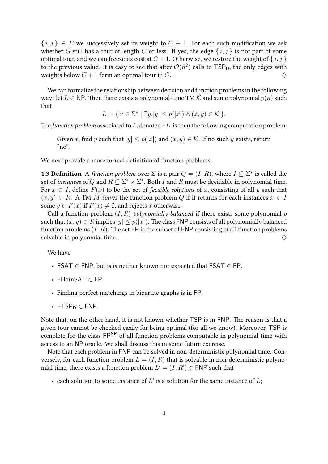$\{i,j\} \in E$  we successively set its weight to  $C + 1$ . For each such modification we ask whether G still has a tour of length C or less. If yes, the edge  $\{i, j\}$  is not part of some optimal tour, and we can freeze its cost at  $C + 1$ . Otherwise, we restore the weight of  $\{i, j\}$ to the previous value. It is easy to see that after  $\mathcal{O}(n^2)$  calls to TSP<sub>D</sub>, the only edges with weights below  $C + 1$  form an optimal tour in G.

We can formalize the relationship between decision and function problems in the following way: let  $L \in \mathsf{NP}$ . Then there exists a polynomial-time TM K and some polynomial  $p(n)$  such that

$$
L = \{ x \in \Sigma^* \mid \exists y. |y| \le p(|x|) \land (x, y) \in \mathcal{K} \}.
$$

The function problem associated to  $L$ , denoted  $FL$ , is then the following computation problem:

Given x, find y such that  $|y| \leq p(|x|)$  and  $(x, y) \in K$ . If no such y exists, return " $no$ ".

We next provide a more formal definition of function problems.

**1.3 Definition** A function problem over  $\Sigma$  is a pair  $Q = (I, R)$ , where  $I \subseteq \Sigma^*$  is called the set of instances of Q and  $R \subseteq \Sigma^* \times \Sigma^*$ . Both I and R must be decidable in polynomial time. For  $x \in I$ , define  $F(x)$  to be the set of *feasible solutions* of x, consisting of all y such that  $(x, y) \in R$ . A TM *M* solves the function problem *Q* if it returns for each instances  $x \in I$ some  $y \in F(x)$  if  $F(x) \neq \emptyset$ , and rejects x otherwise.

Call a function problem  $(I, R)$  polynomially balanced if there exists some polynomial p such that  $(x, y) \in R$  implies  $|y| \leq p(|x|)$ . The class FNP consists of all polynomially balanced function problems  $(I, R)$ . The set FP is the subset of FNP consisting of all function problems solvable in polynomial time.  $\Diamond$ 

We have

- FSAT  $\in$  FNP, but is is neither known nor expected that FSAT  $\in$  FP.
- FHornSAT ∈ FP.
- Finding perfect matchings in bipartite graphs is in FP.
- FTSP $p \in FNP$ .

Note that, on the other hand, it is not known whether TSP is in FNP. The reason is that a given tour cannot be checked easily for being optimal (for all we know). Moreover, TSP is complete for the class  $\mathsf{FP}^{\mathsf{NP}}$  of all function problems computable in polynomial time with access to an NP oracle. We shall discuss this in some future exercise.

Note that each problem in FNP can be solved in non-deterministic polynomial time. Conversely, for each function problem  $L = (I, R)$  that is solvable in non-deterministic polynomial time, there exists a function problem  $L' = (I, R') \in {\sf FNP}$  such that

• each solution to some instance of  $L'$  is a solution for the same instance of  $L$ ;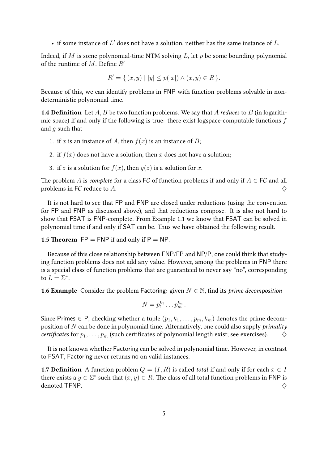• if some instance of  $L'$  does not have a solution, neither has the same instance of  $L$ .

Indeed, if  $M$  is some polynomial-time NTM solving  $L$ , let  $p$  be some bounding polynomial of the runtime of M. Define  $R'$ 

$$
R' = \{ (x, y) \mid |y| \le p(|x|) \land (x, y) \in R \}.
$$

Because of this, we can identify problems in FNP with function problems solvable in nondeterministic polynomial time.

**1.4 Definition** Let A, B be two function problems. We say that A reduces to B (in logarithmic space) if and only if the following is true: there exist logspace-computable functions  $f$ and  $q$  such that

- 1. if x is an instance of A, then  $f(x)$  is an instance of B;
- 2. if  $f(x)$  does not have a solution, then x does not have a solution;
- 3. if z is a solution for  $f(x)$ , then  $q(z)$  is a solution for x.

The problem A is *complete* for a class  $\mathsf{F}\mathcal{C}$  of function problems if and only if  $A \in \mathsf{F}\mathcal{C}$  and all problems in FC reduce to A.  $\Diamond$ 

It is not hard to see that FP and FNP are closed under reductions (using the convention for FP and FNP as discussed above), and that reductions compose. It is also not hard to show that FSAT is FNP-complete. From Example [1.1](#page-2-3) we know that FSAT can be solved in polynomial time if and only if SAT can be. Thus we have obtained the following result.

**1.5 Theorem**  $FP = FNP$  if and only if  $P = NP$ .

Because of this close relationship between FNP/FP and NP/P, one could think that studying function problems does not add any value. However, among the problems in FNP there is a special class of function problems that are guaranteed to never say "no", corresponding to  $L = \Sigma^*$ .

**1.6 Example** Consider the problem Factoring: given  $N \in \mathbb{N}$ , find its *prime decomposition* 

$$
N=p_1^{k_1}\ldots p_m^{k_m}.
$$

Since Primes  $\in$  P, checking whether a tuple  $(p_1, k_1, \ldots, p_m, k_m)$  denotes the prime decomposition of  $N$  can be done in polynomial time. Alternatively, one could also supply *primality* certificates for  $p_1, \ldots, p_m$  (such certificates of polynomial length exist; see exercises).  $\diamondsuit$ 

It is not known whether Factoring can be solved in polynomial time. However, in contrast to FSAT, Factoring never returns no on valid instances.

**1.7 Definition** A function problem  $Q = (I, R)$  is called *total* if and only if for each  $x \in I$ there exists a  $y \in \Sigma^*$  such that  $(x, y) \in R$ . The class of all total function problems in FNP is denoted TFNP.  $\diamondsuit$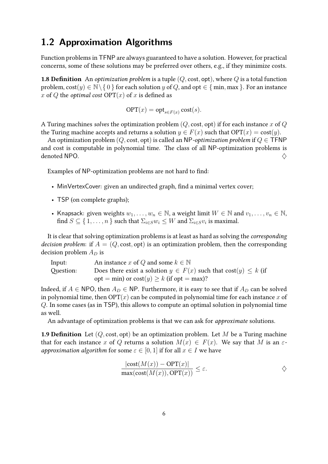## <span id="page-5-0"></span>**1.2 Approximation Algorithms**

Function problems in TFNP are always guaranteed to have a solution. However, for practical concerns, some of these solutions may be preferred over others, e.g., if they minimize costs.

**1.8 Definition** An *optimization problem* is a tuple  $(Q, \text{cost}, \text{opt})$ , where  $Q$  is a total function problem,  $cost(y) \in \mathbb{N} \setminus \{0\}$  for each solution y of Q, and opt  $\in \{\min, \max\}$ . For an instance x of Q the *optimal cost*  $OPT(x)$  of x is defined as

$$
\text{OPT}(x) = \text{opt}_{s \in F(x)} \text{cost}(s).
$$

A Turing machines solves the optimization problem  $(Q, \text{cost}, \text{opt})$  if for each instance x of Q the Turing machine accepts and returns a solution  $y \in F(x)$  such that  $OPT(x) = \text{cost}(y)$ .

An optimization problem (Q, cost, opt) is called an NP-optimization problem if  $Q \in \mathsf{TFNP}$ and cost is computable in polynomial time. The class of all NP-optimization problems is denoted NPO.  $\Diamond$ 

Examples of NP-optimization problems are not hard to find:

- MinVertexCover: given an undirected graph, find a minimal vertex cover;
- TSP (on complete graphs);
- Knapsack: given weights  $w_1, \ldots, w_n \in \mathbb{N}$ , a weight limit  $W \in \mathbb{N}$  and  $v_1, \ldots, v_n \in \mathbb{N}$ , find  $S \subseteq \set{1, \ldots, n}$  such that  $\Sigma_{i \in S} w_i \leq W$  and  $\Sigma_{i \in S} v_i$  is maximal.

It is clear that solving optimization problems is at least as hard as solving the corresponding decision problem: if  $A = (Q, \text{cost}, \text{opt})$  is an optimization problem, then the corresponding decision problem  $A_D$  is

| Input:    | An instance x of Q and some $k \in \mathbb{N}$                          |
|-----------|-------------------------------------------------------------------------|
| Question: | Does there exist a solution $y \in F(x)$ such that $cost(y) \leq k$ (if |
|           | $opt = min)$ or $cost(y) \ge k$ (if opt = max)?                         |

Indeed, if  $A \in \text{NPO}$ , then  $A_D \in \text{NP}$ . Furthermore, it is easy to see that if  $A_D$  can be solved in polynomial time, then  $OPT(x)$  can be computed in polynomial time for each instance x of Q. In some cases (as in TSP), this allows to compute an optimal solution in polynomial time as well.

An advantage of optimization problems is that we can ask for approximate solutions.

**1.9 Definition** Let  $(Q, \text{cost}, \text{opt})$  be an optimization problem. Let M be a Turing machine that for each instance x of Q returns a solution  $M(x) \in F(x)$ . We say that M is an  $\varepsilon$ approximation algorithm for some  $\varepsilon \in [0,1]$  if for all  $x \in I$  we have

$$
\frac{|\text{cost}(M(x)) - \text{OPT}(x)|}{\max(\text{cost}(M(x)), \text{OPT}(x))} \le \varepsilon.
$$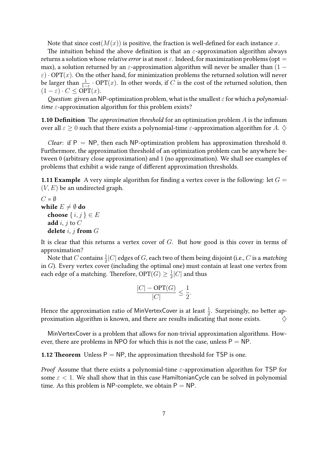Note that since  $cost(M(x))$  is positive, the fraction is well-defined for each instance x.

The intuition behind the above definition is that an  $\varepsilon$ -approximation algorithm always returns a solution whose *relative error* is at most  $\varepsilon$ . Indeed, for maximization problems (opt = max), a solution returned by an  $\varepsilon$ -approximation algorithm will never be smaller than (1 –  $\varepsilon$ )  $\cdot$  OPT(x). On the other hand, for minimization problems the returned solution will never be larger than  $\frac{1}{1-\varepsilon}\cdot\mathop{\rm{OPT}}(x).$  In other words, if  $C$  is the cost of the returned solution, then  $(1 - \varepsilon) \cdot C \le \text{OPT}(x)$ .

Question: given an NP-optimization problem, what is the smallest  $\varepsilon$  for which a polynomialtime  $\varepsilon$ -approximation algorithm for this problem exists?

**1.10 Definition** The *approximation threshold* for an optimization problem A is the infimum over all  $\varepsilon \geq 0$  such that there exists a polynomial-time  $\varepsilon$ -approximation algorithm for A.  $\diamondsuit$ 

*Clear*: if  $P = NP$ , then each NP-optimization problem has approximation threshold 0. Furthermore, the approximation threshold of an optimization problem can be anywhere between 0 (arbitrary close approximation) and 1 (no approximation). We shall see examples of problems that exhibit a wide range of different approximation thresholds.

**1.11 Example** A very simple algorithm for finding a vertex cover is the following: let  $G =$  $(V, E)$  be an undirected graph.

 $C = \emptyset$ while  $E \neq \emptyset$  do choose  $\{i, j\} \in E$ add  $i, j$  to  $C$ delete  $i, j$  from  $G$ 

It is clear that this returns a vertex cover of  $G$ . But how good is this cover in terms of approximation?

Note that  $C$  contains  $\frac{1}{2}|C|$  edges of  $G$ , each two of them being disjoint (i.e.,  $C$  is a *matching* in  $G$ ). Every vertex cover (including the optimal one) must contain at least one vertex from each edge of a matching. Therefore, OPT $(G) \geq \frac{1}{2}$  $\frac{1}{2}|C|$  and thus

$$
\frac{|C| - \text{OPT}(G)}{|C|} \le \frac{1}{2}.
$$

Hence the approximation ratio of MinVertexCover is at least  $\frac{1}{2}$ . Surprisingly, no better approximation algorithm is known, and there are results indicating that none exists.  $\Diamond$ 

MinVertexCover is a problem that allows for non-trivial approximation algorithms. However, there are problems in NPO for which this is not the case, unless  $P = NP$ .

**1.12 Theorem** Unless  $P = NP$ , the approximation threshold for TSP is one.

*Proof* Assume that there exists a polynomial-time  $\varepsilon$ -approximation algorithm for TSP for some  $\varepsilon$  < 1. We shall show that in this case Hamiltonian Cycle can be solved in polynomial time. As this problem is NP-complete, we obtain  $P = NP$ .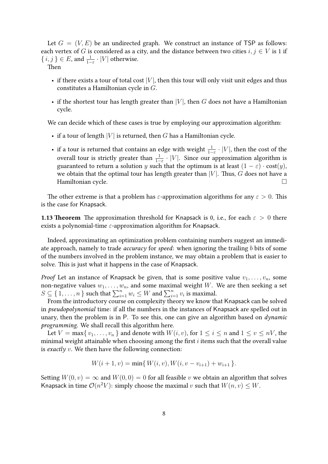Let  $G = (V, E)$  be an undirected graph. We construct an instance of TSP as follows: each vertex of G is considered as a city, and the distance between two cities  $i, j \in V$  is 1 if  $\{i,j\}\in E$ , and  $\frac{1}{1-\varepsilon}\cdot |V|$  otherwise.

Then

- if there exists a tour of total cost  $|V|$ , then this tour will only visit unit edges and thus constitutes a Hamiltonian cycle in G.
- if the shortest tour has length greater than  $|V|$ , then G does not have a Hamiltonian cycle.

We can decide which of these cases is true by employing our approximation algorithm:

- if a tour of length  $|V|$  is returned, then G has a Hamiltonian cycle.
- if a tour is returned that contains an edge with weight  $\frac{1}{1-\varepsilon} \cdot |V|$ , then the cost of the overall tour is strictly greater than  $\frac{1}{1-\varepsilon} \cdot |V|$ . Since our approximation algorithm is guaranteed to return a solution y such that the optimum is at least  $(1 - \varepsilon) \cdot \text{cost}(y)$ , we obtain that the optimal tour has length greater than  $|V|$ . Thus, G does not have a Hamiltonian cycle.

The other extreme is that a problem has  $\varepsilon$ -approximation algorithms for any  $\varepsilon > 0$ . This is the case for Knapsack.

**1.13 Theorem** The approximation threshold for Knapsack is 0, i.e., for each  $\varepsilon > 0$  there exists a polynomial-time  $\varepsilon$ -approximation algorithm for Knapsack.

Indeed, approximating an optimization problem containing numbers suggest an immediate approach, namely to trade *accuracy* for speed: when ignoring the trailing b bits of some of the numbers involved in the problem instance, we may obtain a problem that is easier to solve. This is just what it happens in the case of Knapsack.

*Proof* Let an instance of Knapsack be given, that is some positive value  $v_1, \ldots, v_n$ , some non-negative values  $w_1, \ldots, w_n$ , and some maximal weight W. We are then seeking a set  $S \subseteq \{1, \ldots, n\}$  such that  $\sum_{i=1}^n w_i \leq W$  and  $\sum_{i=1}^n v_i$  is maximal.

From the introductory course on complexity theory we know that Knapsack can be solved in pseudopolynomial time: if all the numbers in the instances of Knapsack are spelled out in unary, then the problem is in P. To see this, one can give an algorithm based on *dynamic* programming. We shall recall this algorithm here.

Let  $V = \max\{v_1, \ldots, v_n\}$  and denote with  $W(i, v)$ , for  $1 \le i \le n$  and  $1 \le v \le nV$ , the minimal weight attainable when choosing among the first  $i$  items such that the overall value is exactly  $v$ . We then have the following connection:

$$
W(i + 1, v) = \min\{W(i, v), W(i, v - v_{i+1}) + w_{i+1}\}.
$$

Setting  $W(0, v) = \infty$  and  $W(0, 0) = 0$  for all feasible v we obtain an algorithm that solves Knapsack in time  $\mathcal{O}(n^2V)$ : simply choose the maximal v such that  $W(n, v) \leq W$ .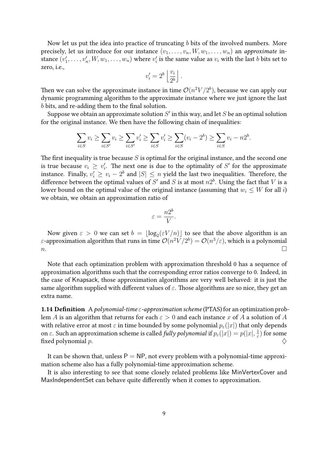Now let us put the idea into practice of truncating  $b$  bits of the involved numbers. More precisely, let us introduce for our instance  $(v_1, \ldots, v_n, W, w_1, \ldots, w_n)$  an *approximate* instance  $(v'_1, \ldots, v'_n, W, w_1, \ldots, w_n)$  where  $v'_i$  is the same value as  $v_i$  with the last  $b$  bits set to zero, i.e.,

$$
v'_i = 2^b \left\lfloor \frac{v_i}{2^b} \right\rfloor.
$$

Then we can solve the approximate instance in time  $\mathcal{O}(n^2 V/2^b)$ , because we can apply our dynamic programming algorithm to the approximate instance where we just ignore the last b bits, and re-adding them to the final solution.

Suppose we obtain an approximate solution  $S^{\prime}$  in this way, and let  $S$  be an optimal solution for the original instance. We then have the following chain of inequalities:

$$
\sum_{i \in S} v_i \ge \sum_{i \in S'} v_i \ge \sum_{i \in S'} v'_i \ge \sum_{i \in S} v'_i \ge \sum_{i \in S} (v_i - 2^b) \ge \sum_{i \in S} v_i - n2^b.
$$

The first inequality is true because  $S$  is optimal for the original instance, and the second one is true because  $v_i \geq v'_i$ . The next one is due to the optimality of S' for the approximate instance. Finally,  $v'_i \geq v_i - 2^b$  and  $|S| \leq n$  yield the last two inequalities. Therefore, the difference between the optimal values of  $S'$  and  $S$  is at most  $n2^b$ . Using the fact that  $V$  is a lower bound on the optimal value of the original instance (assuming that  $w_i \leq W$  for all i) we obtain, we obtain an approximation ratio of

$$
\varepsilon = \frac{n2^b}{V}.
$$

Now given  $\varepsilon > 0$  we can set  $b = \lfloor \log_2(\varepsilon V / n) \rfloor$  to see that the above algorithm is an ε-approximation algorithm that runs in time  $\mathcal{O}(n^2 V/2^b) = \mathcal{O}(n^3 / \varepsilon)$ , which is a polynomial  $n.$ 

Note that each optimization problem with approximation threshold 0 has a sequence of approximation algorithms such that the corresponding error ratios converge to 0. Indeed, in the case of Knapsack, those approximation algorithms are very well behaved: it is just the same algorithm supplied with different values of  $\varepsilon$ . Those algorithms are so nice, they get an extra name.

**1.14 Definition** A polynomial-time  $\varepsilon$ -approximation scheme (PTAS) for an optimization problem A is an algorithm that returns for each  $\varepsilon > 0$  and each instance x of A a solution of A with relative error at most  $\varepsilon$  in time bounded by some polynomial  $p_{\varepsilon}(|x|)$  that only depends on  $\varepsilon.$  Such an approximation scheme is called  ${\it fully}$  polynomial if  $p_\varepsilon(|x|)=p(|x|,\frac{1}{\varepsilon})$  $\frac{1}{\varepsilon}$ ) for some fixed polynomial  $p$ .

It can be shown that, unless  $P = NP$ , not every problem with a polynomial-time approximation scheme also has a fully polynomial-time approximation scheme.

<span id="page-8-0"></span>It is also interesting to see that some closely related problems like MinVertexCover and MaxIndependentSet can behave quite differently when it comes to approximation.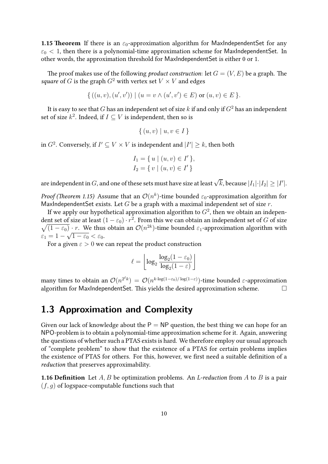**1.15 Theorem** If there is an  $\varepsilon_0$ -approximation algorithm for MaxIndependentSet for any  $\varepsilon_0$  < 1, then there is a polynomial-time approximation scheme for MaxIndependentSet. In other words, the approximation threshold for MaxIndependentSet is either 0 or 1.

The proof makes use of the following *product construction*: let  $G = (V, E)$  be a graph. The square of G is the graph  $G^2$  with vertex set  $V \times V$  and edges

$$
\{ ((u, v), (u', v')) \mid (u = v \land (u', v') \in E) \text{ or } (u, v) \in E \}.
$$

It is easy to see that  $G$  has an independent set of size  $k$  if and only if  $G^2$  has an independent set of size  $k^2$ . Indeed, if  $I \subseteq V$  is independent, then so is

$$
\{(u, v) \mid u, v \in I\}
$$

in  $G^2$ . Conversely, if  $I' \subseteq V \times V$  is independent and  $|I'| \geq k$ , then both

$$
I_1 = \{ u \mid (u, v) \in I' \},
$$
  
\n
$$
I_2 = \{ v \mid (u, v) \in I' \}
$$

are independent in  $G$ , and one of these sets must have size at least  $\sqrt{k}$ , because  $|I_1|\!\cdot\!|I_2|\geq |I'|$ .

Proof (Theorem [1.15\)](#page-8-0) Assume that an  $\mathcal{O}(n^k)$ -time bounded  $\varepsilon_0$ -approximation algorithm for MaxIndependentSet exists. Let  $G$  be a graph with a maximal independent set of size  $r$ .

If we apply our hypothetical approximation algorithm to  $G^2$ , then we obtain an independent set of size at least  $(1-\varepsilon_0)\cdot r^2.$  From this we can obtain an independent set of  $G$  of size  $\sqrt{(1-\varepsilon_0)}$  *r.* We thus obtain an  $\mathcal{O}(n^{2k})$ -time bounded  $\varepsilon_1$ -approximation algorithm with  $\varepsilon_1 = 1 - \sqrt{1 - \varepsilon_0} < \varepsilon_0.$ 

For a given  $\varepsilon > 0$  we can repeat the product construction

$$
\ell = \left\lfloor \log_2 \frac{\log_2(1 - \varepsilon_0)}{\log_2(1 - \varepsilon)} \right\rfloor
$$

many times to obtain an  $\mathcal{O}(n^{2^\ell k}) = \mathcal{O}(n^{k \cdot \log(1-\varepsilon_0)/\log(1-\varepsilon)})$ -time bounded ε-approximation algorithm for MaxIndependentSet. This yields the desired approximation scheme.  $\Box$ 

## <span id="page-9-0"></span>**1.3 Approximation and Complexity**

Given our lack of knowledge about the  $P = NP$  question, the best thing we can hope for an NPO-problem is to obtain a polynomial-time approximation scheme for it. Again, answering the questions of whether such a PTAS exists is hard. We therefore employ our usual approach of "complete problem" to show that the existence of a PTAS for certain problems implies the existence of PTAS for others. For this, however, we first need a suitable definition of a reduction that preserves approximability.

**1.16 Definition** Let  $A, B$  be optimization problems. An *L-reduction* from  $A$  to  $B$  is a pair  $(f, q)$  of logspace-computable functions such that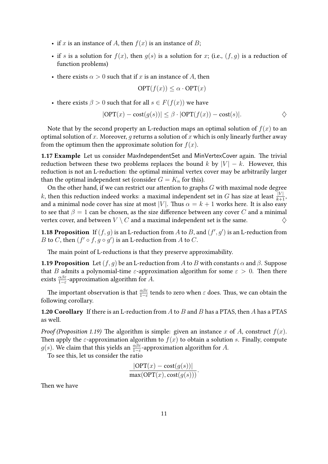- if x is an instance of A, then  $f(x)$  is an instance of B;
- if s is a solution for  $f(x)$ , then  $g(s)$  is a solution for x; (i.e.,  $(f, g)$  is a reduction of function problems)
- there exists  $\alpha > 0$  such that if x is an instance of A, then

$$
\text{OPT}(f(x)) \le \alpha \cdot \text{OPT}(x)
$$

• there exists  $\beta > 0$  such that for all  $s \in F(f(x))$  we have

$$
|\text{OPT}(x) - \text{cost}(g(s))| \le \beta \cdot |\text{OPT}(f(x)) - \text{cost}(s)|.
$$

Note that by the second property an L-reduction maps an optimal solution of  $f(x)$  to an optimal solution of x. Moreover, q returns a solution of x which is only linearly further away from the optimum then the approximate solution for  $f(x)$ .

1.17 Example Let us consider MaxIndependentSet and MinVertexCover again. The trivial reduction between these two problems replaces the bound k by  $|V| - k$ . However, this reduction is not an L-reduction: the optimal minimal vertex cover may be arbitrarily larger than the optimal independent set (consider  $G = K_n$  for this).

On the other hand, if we can restrict our attention to graphs  $G$  with maximal node degree  $k$ , then this reduction indeed works: a maximal independent set in  $G$  has size at least  $\frac{|V|}{k+1}$ , and a minimal node cover has size at most |V|. Thus  $\alpha = k + 1$  works here. It is also easy to see that  $\beta = 1$  can be chosen, as the size difference between any cover C and a minimal vertex cover, and between  $V \setminus C$  and a maximal independent set is the same.

**1.18 Proposition** If  $(f, g)$  is an L-reduction from A to B, and  $(f', g')$  is an L-reduction from B to C, then  $(f' \circ f, g \circ g')$  is an L-reduction from A to C.

The main point of L-reductions is that they preserve approximability.

<span id="page-10-0"></span>**1.19 Proposition** Let  $(f, g)$  be an L-reduction from A to B with constants  $\alpha$  and  $\beta$ . Suppose that B admits a polynomial-time  $\varepsilon$ -approximation algorithm for some  $\varepsilon > 0$ . Then there exists  $\frac{\alpha\beta\varepsilon}{1-\varepsilon}$ -approximation algorithm for A.

The important observation is that  $\frac{\alpha\beta\varepsilon}{1-\varepsilon}$  tends to zero when  $\varepsilon$  does. Thus, we can obtain the following corollary.

**1.20 Corollary** If there is an L-reduction from  $A$  to  $B$  and  $B$  has a PTAS, then  $A$  has a PTAS as well.

*Proof (Proposition [1.19\)](#page-10-0)* The algorithm is simple: given an instance x of A, construct  $f(x)$ . Then apply the  $\varepsilon$ -approximation algorithm to  $f(x)$  to obtain a solution s. Finally, compute  $g(s)$ . We claim that this yields an  $\frac{\alpha\beta\varepsilon}{1-\varepsilon}$ -approximation algorithm for  $A$ .

To see this, let us consider the ratio

$$
\frac{|\text{OPT}(x) - \text{cost}(g(s))|}{\max(\text{OPT}(x), \text{cost}(g(s)))}.
$$

Then we have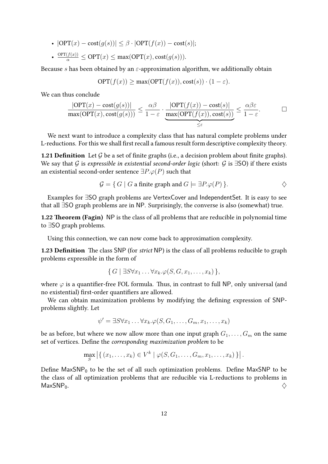- $|OPT(x) cost(g(s))| \leq \beta \cdot |OPT(f(x)) cost(s)|;$
- $\frac{\text{OPT}(f(x))}{\alpha} \le \text{OPT}(x) \le \max(\text{OPT}(x), \text{cost}(g(s))).$

Because s has been obtained by an  $\varepsilon$ -approximation algorithm, we additionally obtain

$$
OPT(f(x)) \ge \max(OPT(f(x)), \text{cost}(s)) \cdot (1 - \varepsilon).
$$

We can thus conclude

$$
\frac{|\text{OPT}(x) - \text{cost}(g(s))|}{\max(\text{OPT}(x), \text{cost}(g(s)))} \le \frac{\alpha \beta}{1 - \varepsilon} \cdot \underbrace{\frac{|\text{OPT}(f(x)) - \text{cost}(s)|}{\max(\text{OPT}(f(x)), \text{cost}(s))}}_{\le \varepsilon} \le \frac{\alpha \beta \varepsilon}{1 - \varepsilon}.
$$

We next want to introduce a complexity class that has natural complete problems under L-reductions. For this we shall first recall a famous result form descriptive complexity theory.

**1.21 Definition** Let  $\mathcal G$  be a set of finite graphs (i.e., a decision problem about finite graphs). We say that G is expressible in existential second-order logic (short: G is  $\exists$ SO) if there exists an existential second-order sentence  $\exists P.\varphi(P)$  such that

$$
\mathcal{G} = \{ G \mid G \text{ a finite graph and } G \models \exists P. \varphi(P) \}.
$$

Examples for ∃SO graph problems are VertexCover and IndependentSet. It is easy to see that all ∃SO graph problems are in NP. Surprisingly, the converse is also (somewhat) true.

1.22 Theorem (Fagin) NP is the class of all problems that are reducible in polynomial time to ∃SO graph problems.

Using this connection, we can now come back to approximation complexity.

**1.23 Definition** The class SNP (for *strict* NP) is the class of all problems reducible to graph problems expressible in the form of

$$
\{G \mid \exists S \forall x_1 \ldots \forall x_k.\varphi(S, G, x_1, \ldots, x_k)\},\
$$

where  $\varphi$  is a quantifier-free FOL formula. Thus, in contrast to full NP, only universal (and no existential) first-order quantifiers are allowed.

We can obtain maximization problems by modifying the defining expression of SNPproblems slightly. Let

$$
\psi' = \exists S \forall x_1 \dots \forall x_k. \varphi(S, G_1, \dots, G_m, x_1, \dots, x_k)
$$

be as before, but where we now allow more than one input graph  $G_1, \ldots, G_m$  on the same set of vertices. Define the corresponding maximization problem to be

$$
\max_{S} \left| \left\{ (x_1, \ldots, x_k) \in V^k \mid \varphi(S, G_1, \ldots, G_m, x_1, \ldots, x_k) \right\} \right|.
$$

Define  $MaxSNP_0$  to be the set of all such optimization problems. Define MaxSNP to be the class of all optimization problems that are reducible via L-reductions to problems in  $\mathsf{MaxSNP}_0.$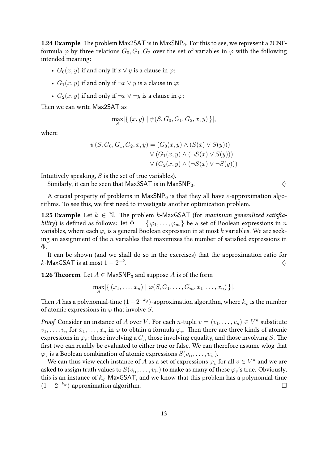**1.24 Example** The problem Max2SAT is in MaxSNP<sub>0</sub>. For this to see, we represent a 2CNFformula  $\varphi$  by three relations  $G_0, G_1, G_2$  over the set of variables in  $\varphi$  with the following intended meaning:

- $G_0(x, y)$  if and only if  $x \vee y$  is a clause in  $\varphi$ ;
- $G_1(x, y)$  if and only if  $\neg x \lor y$  is a clause in  $\varphi$ ;
- $G_2(x, y)$  if and only if  $\neg x \lor \neg y$  is a clause in  $\varphi$ ;

Then we can write Max2SAT as

$$
\max_{S} |\{ (x, y) \mid \psi(S, G_0, G_1, G_2, x, y) \}|,
$$

where

$$
\psi(S, G_0, G_1, G_2, x, y) = (G_0(x, y) \land (S(x) \lor S(y)))
$$

$$
\lor (G_1(x, y) \land (\neg S(x) \lor S(y)))
$$

$$
\lor (G_2(x, y) \land (\neg S(x) \lor \neg S(y)))
$$

Intuitively speaking,  $S$  is the set of true variables).

Similarly, it can be seen that Max3SAT is in MaxSNP<sub>0</sub>.  $\diamondsuit$ 

A crucial property of problems in  $MaxSNP_0$  is that they all have  $\varepsilon$ -approximation algorithms. To see this, we first need to investigate another optimization problem.

**1.25 Example** Let  $k \in \mathbb{N}$ . The problem k-MaxGSAT (for maximum generalized satisfiability) is defined as follows: let  $\Phi = {\varphi_1, \ldots, \varphi_m}$  be a set of Boolean expressions in n variables, where each  $\varphi_i$  is a general Boolean expression in at most  $k$  variables. We are seeking an assignment of the  $n$  variables that maximizes the number of satisfied expressions in Φ.

It can be shown (and we shall do so in the exercises) that the approximation ratio for  $k$ -MaxGSAT is at most  $1-2^{-k}$ . And the contract of the contract of  $\Diamond$ 

**1.26 Theorem** Let  $A \in \text{MaxSNP}_0$  and suppose A is of the form

$$
\max_{S} |\{ (x_1,\ldots,x_n) \mid \varphi(S,G_1,\ldots,G_m,x_1,\ldots,x_n) \}|.
$$

Then  $A$  has a polynomial-time  $(1-2^{-k_{\varphi}})$ -approximation algorithm, where  $k_{\varphi}$  is the number of atomic expressions in  $\varphi$  that involve  $S.$ 

*Proof* Consider an instance of A over V. For each *n*-tuple  $v = (v_1, \ldots, v_n) \in V^n$  substitute  $v_1, \ldots, v_n$  for  $x_1, \ldots, x_n$  in  $\varphi$  to obtain a formula  $\varphi_v$ . Then there are three kinds of atomic expressions in  $\varphi_{v}$ : those involving a  $G_{i}$ , those involving equality, and those involving  $S.$  The first two can readily be evaluated to either true or false. We can therefore assume wlog that  $\varphi_v$  is a Boolean combination of atomic expressions  $S(v_{i_1},\ldots,v_{i_r}).$ 

We can thus view each instance of  $A$  as a set of expressions  $\varphi_v$  for all  $v\in V^n$  and we are asked to assign truth values to  $S(v_{i_1},\ldots,v_{i_r})$  to make as many of these  $\varphi_v$ 's true. Obviously, this is an instance of  $k_{\varphi}$ -MaxGSAT, and we know that this problem has a polynomial-time  $(1 - 2^{-k\varphi})$ -approximation algorithm.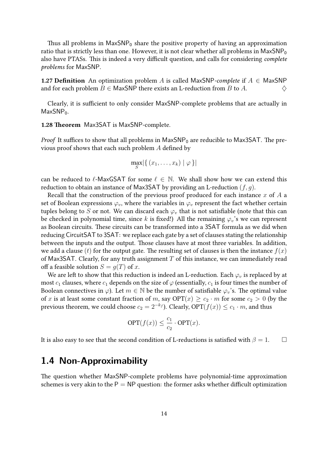Thus all problems in  $MaxSNP_0$  share the positive property of having an approximation ratio that is strictly less than one. However, it is not clear whether all problems in  $MaxSNP_0$ also have PTASs. This is indeed a very difficult question, and calls for considering complete problems for MaxSNP.

**1.27 Definition** An optimization problem A is called MaxSNP-complete if  $A \in \mathsf{MaxSNP}$ and for each problem  $B \in$  MaxSNP there exists an L-reduction from B to A.  $\Diamond$ 

Clearly, it is sufficient to only consider MaxSNP-complete problems that are actually in  $MaxSNP<sub>0</sub>$ .

1.28 Theorem Max3SAT is MaxSNP-complete.

*Proof* It suffices to show that all problems in  $MaxSNP<sub>0</sub>$  are reducible to Max3SAT. The previous proof shows that each such problem A defined by

$$
\max_{S} |\{ (x_1,\ldots,x_k) \mid \varphi \}|
$$

can be reduced to  $\ell$ -MaxGSAT for some  $\ell \in \mathbb{N}$ . We shall show how we can extend this reduction to obtain an instance of Max3SAT by providing an L-reduction  $(f, g)$ .

Recall that the construction of the previous proof produced for each instance  $x$  of  $A$  a set of Boolean expressions  $\varphi_v$ , where the variables in  $\varphi_v$  represent the fact whether certain tuples belong to S or not. We can discard each  $\varphi_v$  that is not satisfiable (note that this can be checked in polynomial time, since k is fixed!) All the remaining  $\varphi_v$ 's we can represent as Boolean circuits. These circuits can be transformed into a 3SAT formula as we did when reducing CircuitSAT to 3SAT: we replace each gate by a set of clauses stating the relationship between the inputs and the output. Those clauses have at most three variables. In addition, we add a clause (t) for the output gate. The resulting set of clauses is then the instance  $f(x)$ of Max3SAT. Clearly, for any truth assignment  $T$  of this instance, we can immediately read off a feasible solution  $S = g(T)$  of x.

We are left to show that this reduction is indeed an L-reduction. Each  $\varphi_v$  is replaced by at most  $c_1$  clauses, where  $c_1$  depends on the size of  $\varphi$  (essentially,  $c_1$  is four times the number of Boolean connectives in  $\varphi$ ). Let  $m \in \mathbb{N}$  be the number of satisfiable  $\varphi_v$ 's. The optimal value of x is at least some constant fraction of m, say  $\text{OPT}(x) \geq c_2 \cdot m$  for some  $c_2 > 0$  (by the previous theorem, we could choose  $c_2 = 2^{-k_f}$ ). Clearly, OPT $(f(x)) \leq c_1 \cdot m$ , and thus

$$
\text{OPT}(f(x)) \le \frac{c_1}{c_2} \cdot \text{OPT}(x).
$$

It is also easy to see that the second condition of L-reductions is satisfied with  $\beta = 1$ .  $\Box$ 

## <span id="page-13-0"></span>**1.4 Non-Approximability**

The question whether MaxSNP-complete problems have polynomial-time approximation schemes is very akin to the  $P = NP$  question: the former asks whether difficult optimization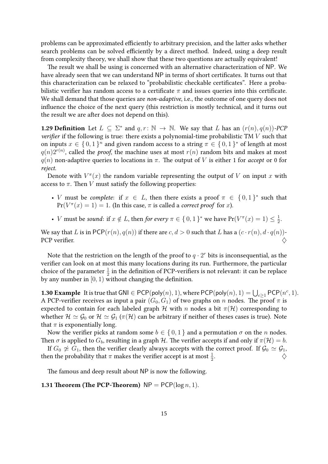problems can be approximated efficiently to arbitrary precision, and the latter asks whether search problems can be solved efficiently by a direct method. Indeed, using a deep result from complexity theory, we shall show that these two questions are actually equivalent!

The result we shall be using is concerned with an alternative characterization of NP. We have already seen that we can understand NP in terms of short certificates. It turns out that this characterization can be relaxed to "probabilistic checkable certificates". Here a probabilistic verifier has random access to a certificate  $\pi$  and issues queries into this certificate. We shall demand that those queries are non-adaptive, i.e., the outcome of one query does not influence the choice of the next query (this restriction is mostly technical, and it turns out the result we are after does not depend on this).

**1.29 Definition** Let  $L \subseteq \Sigma^*$  and  $q, r : \mathbb{N} \to \mathbb{N}$ . We say that L has an  $(r(n), q(n))$ -PCF verifier if the following is true: there exists a polynomial-time probabilistic TM  $V$  such that on inputs  $x \in \{0,1\}^n$  and given random access to a string  $\pi \in \{0,1\}^*$  of length at most  $q(n)2^{r(n)}$ , called the proof, the machine uses at most  $r(n)$  random bits and makes at most  $q(n)$  non-adaptive queries to locations in  $\pi$ . The output of V is either 1 for accept or 0 for reject.

Denote with  $V^{\pi}(x)$  the random variable representing the output of V on input x with access to  $\pi$ . Then V must satisfy the following properties:

- *V* must be *complete*: if  $x \in L$ , then there exists a proof  $\pi \in \{0,1\}^*$  such that  $Pr(V^{\pi}(x) = 1) = 1$ . (In this case,  $\pi$  is called a *correct proof* for x).
- *V* must be sound: if  $x \notin L$ , then for every  $\pi \in \{0,1\}^*$  we have  $Pr(V^{\pi}(x) = 1) \leq \frac{1}{2}$  $\frac{1}{2}$ .

We say that L is in PCP( $r(n)$ ,  $q(n)$ ) if there are  $c, d > 0$  such that L has a  $(c \cdot r(n), d \cdot q(n))$ -PCP verifier.

Note that the restriction on the length of the proof to  $q \cdot 2^r$  bits is inconsequential, as the verifier can look on at most this many locations during its run. Furthermore, the particular choice of the parameter  $\frac{1}{2}$  in the definition of PCP-verifiers is not relevant: it can be replace by any number in  $[0, 1)$  without changing the definition.

**1.30 Example** It is true that GNI  $\in$  PCP(poly(*n*), 1), where PCP(poly(*n*), 1) =  $\bigcup_{c\geq 1}$  PCP( $n^c, 1$ ). A PCP-verifier receives as input a pair  $(G_0, G_1)$  of two graphs on n nodes. The proof  $\pi$  is expected to contain for each labeled graph H with n nodes a bit  $\pi(\mathcal{H})$  corresponding to whether  $\mathcal{H} \simeq \mathcal{G}_0$  or  $\mathcal{H} \simeq \mathcal{G}_1$  ( $\pi(\mathcal{H})$  can be arbitrary if neither of theses cases is true). Note that  $\pi$  is exponentially long.

Now the verifier picks at random some  $b \in \{0,1\}$  and a permutation  $\sigma$  on the *n* nodes. Then  $\sigma$  is applied to  $G_b$ , resulting in a graph H. The verifier accepts if and only if  $\pi(\mathcal{H}) = b$ .

If  $G_0 \not\simeq G_1$ , then the verifier clearly always accepts with the correct proof. If  $\mathcal{G}_0 \simeq \mathcal{G}_1$ , then the probability that  $\pi$  makes the verifier accept is at most  $\frac{1}{2}$ . As we have the set of  $\Diamond$ 

The famous and deep result about NP is now the following.

**1.31 Theorem (The PCP-Theorem)**  $NP = PCP(\log n, 1)$ .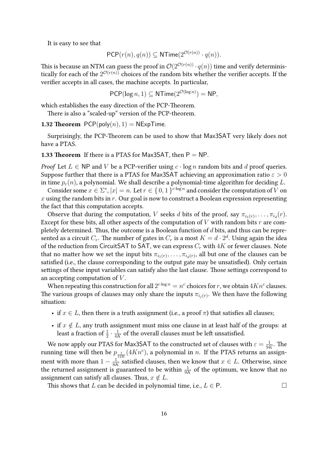It is easy to see that

$$
\mathsf{PCP}(r(n), q(n)) \subseteq \mathsf{NTime}(2^{\mathcal{O}(r(n))} \cdot q(n)).
$$

This is because an NTM can guess the proof in  $\mathcal{O}(2^{\mathcal{O}(r(n))}\cdot q(n))$  time and verify deterministically for each of the  $2^{{\cal O}(r(n))}$  choices of the random bits whether the verifier accepts. If the verifier accepts in all cases, the machine accepts. In particular,

$$
\mathsf{PCP}(\log n, 1) \subseteq \mathsf{NTime}(2^{\mathcal{O}(\log n)}) = \mathsf{NP},
$$

which establishes the easy direction of the PCP-Theorem.

There is also a "scaled-up" version of the PCP-theorem.

**1.32 Theorem**  $PCP(poly(n), 1) = NExpTime$ .

Surprisingly, the PCP-Theorem can be used to show that Max3SAT very likely does not have a PTAS.

**1.33 Theorem** If there is a PTAS for Max3SAT, then  $P = NP$ .

*Proof* Let  $L \in \mathsf{NP}$  and  $V$  be a PCP-verifier using  $c \cdot \log n$  random bits and  $d$  proof queries. Suppose further that there is a PTAS for Max3SAT achieving an approximation ratio  $\varepsilon > 0$ in time  $p_{\varepsilon}(n)$ , a polynomial. We shall describe a polynomial-time algorithm for deciding L.

Consider some  $x \in \Sigma^*$ ,  $|x| = n$ . Let  $r \in \set{0, 1}^{c \cdot \log n}$  and consider the computation of  $V$  on  $x$  using the random bits in  $r$ . Our goal is now to construct a Boolean expression representing the fact that this computation accepts.

Observe that during the computation, V seeks d bits of the proof, say  $\pi_{i_1(r)}, \ldots, \pi_{i_d}(r)$ . Except for these bits, all other aspects of the computation of  $V$  with random bits  $r$  are completely determined. Thus, the outcome is a Boolean function of  $d$  bits, and thus can be represented as a circuit  $C_r$ . The number of gates in  $C_r$  is a most  $K=d\cdot 2^d.$  Using again the idea of the reduction from CircuitSAT to SAT, we can express  $C_r$  with  $4K$  or fewer clauses. Note that no matter how we set the input bits  $\pi_{i_1(r)}, \ldots, \pi_{i_d(r)},$  all but one of the clauses can be satisfied (i.e., the clause corresponding to the output gate may be unsatisfied). Only certain settings of these input variables can satisfy also the last clause. Those settings correspond to an accepting computation of  $V$ .

When repeating this construction for all  $2^{c\cdot \log n}=n^c$  choices for  $r$ , we obtain  $4Kn^c$  clauses. The various groups of clauses may only share the inputs  $\pi_{i_j(r)}.$  We then have the following situation:

- if  $x \in L$ , then there is a truth assignment (i.e., a proof  $\pi$ ) that satisfies all clauses;
- if  $x \notin L$ , any truth assignment must miss one clause in at least half of the groups: at least a fraction of  $\frac{1}{2} \cdot \frac{1}{4R}$  $\frac{1}{4K}$  of the overall clauses must be left unsatisfied.

We now apply our PTAS for Max3SAT to the constructed set of clauses with  $\varepsilon = \frac{1}{\Omega t}$  $\frac{1}{9K}$ . The running time will then be  $p_{\frac{1}{12K}}(4Kn^c)$ , a polynomial in n. If the PTAS returns an assignment with more than  $1 - \frac{1}{8l}$  $\frac{1}{8K}$  satisfied clauses, then we know that  $x \in L$ . Otherwise, since the returned assignment is guaranteed to be within  $\frac{1}{9K}$  of the optimum, we know that no assignment can satisfy all clauses. Thus,  $x \notin L$ .

This shows that L can be decided in polynomial time, i.e.,  $L \in P$ .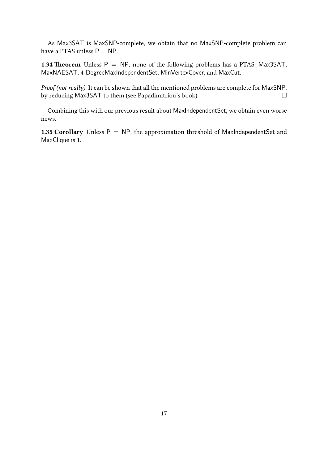As Max3SAT is MaxSNP-complete, we obtain that no MaxSNP-complete problem can have a PTAS unless  $P = NP$ .

1.34 Theorem Unless  $P = NP$ , none of the following problems has a PTAS: Max3SAT, MaxNAESAT, 4-DegreeMaxIndependentSet, MinVertexCover, and MaxCut.

Proof (not really) It can be shown that all the mentioned problems are complete for MaxSNP, by reducing Max3SAT to them (see Papadimitriou's book).

Combining this with our previous result about MaxIndependentSet, we obtain even worse news.

1.35 Corollary Unless  $P = NP$ , the approximation threshold of MaxIndependentSet and MaxClique is 1.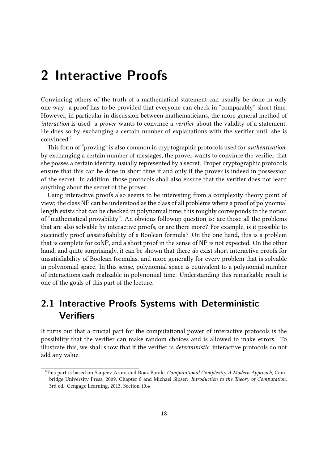## <span id="page-17-0"></span>**2 Interactive Proofs**

Convincing others of the truth of a mathematical statement can usually be done in only one way: a proof has to be provided that everyone can check in "comparably" short time. However, in particular in discussion between mathematicians, the more general method of interaction is used: a prover wants to convince a verifier about the validity of a statement. He does so by exchanging a certain number of explanations with the verifier until she is convinced.[1](#page-17-2)

This form of "proving" is also common in cryptographic protocols used for authentication: by exchanging a certain number of messages, the prover wants to convince the verifier that she posses a certain identity, usually represented by a secret. Proper cryptographic protocols ensure that this can be done in short time if and only if the prover is indeed in possession of the secret. In addition, those protocols shall also ensure that the verifier does not learn anything about the secret of the prover.

Using interactive proofs also seems to be interesting from a complexity theory point of view: the class NP can be understood as the class of all problems where a proof of polynomial length exists that can be checked in polynomial time; this roughly corresponds to the notion of "mathematical provability". An obvious followup question is: are those all the problems that are also solvable by interactive proofs, or are there more? For example, is it possible to succinctly proof unsatisfiability of a Boolean formula? On the one hand, this is a problem that is complete for coNP, and a short proof in the sense of NP is not expected. On the other hand, and quite surprisingly, it can be shown that there do exist short interactive proofs for unsatisfiability of Boolean formulas, and more generally for every problem that is solvable in polynomial space. In this sense, polynomial space is equivalent to a polynomial number of interactions each realizable in polynomial time. Understanding this remarkable result is one of the goals of this part of the lecture.

## <span id="page-17-1"></span>**2.1 Interactive Proofs Systems with Deterministic Verifiers**

It turns out that a crucial part for the computational power of interactive protocols is the possibility that the verifier can make random choices and is allowed to make errors. To illustrate this, we shall show that if the verifier is deterministic, interactive protocols do not add any value.

<span id="page-17-2"></span><sup>&</sup>lt;sup>1</sup>This part is based on Sanjeev Arora and Boaz Barak: *Computational Complexity A Modern Approach*, Cambridge University Press, 2009, Chapter 8 and Michael Sipser: Introduction to the Theory of Computation, 3rd ed., Cengage Learning, 2013, Section 10.4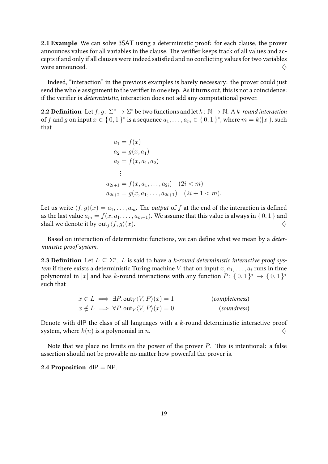2.1 Example We can solve 3SAT using a deterministic proof: for each clause, the prover announces values for all variables in the clause. The verifier keeps track of all values and accepts if and only if all clauses were indeed satisfied and no conflicting values for two variables were announced.  $\Diamond$ 

Indeed, "interaction" in the previous examples is barely necessary: the prover could just send the whole assignment to the verifier in one step. As it turns out, this is not a coincidence: if the verifier is deterministic, interaction does not add any computational power.

**2.2 Definition** Let  $f, g: \Sigma^* \to \Sigma^*$  be two functions and let  $k: \mathbb{N} \to \mathbb{N}$ . A k-round interaction of f and g on input  $x \in \{0,1\}^*$  is a sequence  $a_1, \ldots, a_m \in \{0,1\}^*$ , where  $m = k(|x|)$ , such that

$$
a_1 = f(x)
$$
  
\n
$$
a_2 = g(x, a_1)
$$
  
\n
$$
a_3 = f(x, a_1, a_2)
$$
  
\n
$$
\vdots
$$
  
\n
$$
a_{2i+1} = f(x, a_1, \dots, a_{2i}) \quad (2i < m)
$$
  
\n
$$
a_{2i+2} = g(x, a_1, \dots, a_{2i+1}) \quad (2i+1 < m).
$$

Let us write  $\langle f, q \rangle(x) = a_1, \dots, a_m$ . The *output* of f at the end of the interaction is defined as the last value  $a_m = f(x, a_1, \ldots, a_{m-1})$ . We assume that this value is always in { 0, 1 } and shall we denote it by  $\mathrm{out}_f\langle f, g\rangle(x)$ .

Based on interaction of deterministic functions, we can define what we mean by a deterministic proof system.

**2.3 Definition** Let  $L \subseteq \Sigma^*$ . *L* is said to have a *k*-round deterministic interactive proof system if there exists a deterministic Turing machine V that on input  $x, a_1, \ldots, a_i$  runs in time polynomial in  $|x|$  and has k-round interactions with any function  $P \colon \{0,1\}^* \to \{0,1\}^*$ such that

$$
x \in L \implies \exists P. \text{out}_V \langle V, P \rangle(x) = 1 \quad \text{(completeness)}
$$
  

$$
x \notin L \implies \forall P. \text{out}_V \langle V, P \rangle(x) = 0 \quad \text{(soundness)}
$$

Denote with dIP the class of all languages with a  $k$ -round deterministic interactive proof system, where  $k(n)$  is a polynomial in n.

Note that we place no limits on the power of the prover  $P$ . This is intentional: a false assertion should not be provable no matter how powerful the prover is.

2.4 Proposition  $dP = NP$ .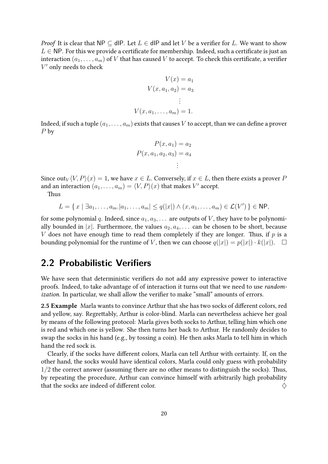*Proof* It is clear that NP  $\subseteq$  dIP. Let  $L \in$  dIP and let V be a verifier for L. We want to show  $L \in \mathsf{NP}$ . For this we provide a certificate for membership. Indeed, such a certificate is just an interaction  $(a_1, \ldots, a_m)$  of V that has caused V to accept. To check this certificate, a verifier  $V'$  only needs to check

$$
V(x) = a_1
$$

$$
V(x, a_1, a_2) = a_3
$$

$$
\vdots
$$

$$
V(x, a_1, \dots, a_m) = 1.
$$

Indeed, if such a tuple  $(a_1, \ldots, a_m)$  exists that causes V to accept, than we can define a prover P by

$$
P(x, a1) = a2
$$

$$
P(x, a1, a2, a3) = a4
$$

$$
\vdots
$$

Since out<sub>V</sub> $\langle V, P \rangle(x) = 1$ , we have  $x \in L$ . Conversely, if  $x \in L$ , then there exists a prover P and an interaction  $(a_1, \ldots, a_m) = \langle V, P \rangle (x)$  that makes  $V'$  accept.

Thus

$$
L = \{ x \mid \exists a_1, \dots, a_m \mid a_1, \dots, a_m \mid \le q(|x|) \land (x, a_1, \dots, a_m) \in \mathcal{L}(V') \} \in \mathsf{NP},
$$

for some polynomial q. Indeed, since  $a_1, a_3, \ldots$  are outputs of V, they have to be polynomially bounded in |x|. Furthermore, the values  $a_2, a_4, \ldots$  can be chosen to be short, because V does not have enough time to read them completely if they are longer. Thus, if  $p$  is a bounding polynomial for the runtime of V, then we can choose  $q(|x|) = p(|x|) \cdot k(|x|)$ .  $\Box$ 

## <span id="page-19-0"></span>**2.2 Probabilistic Verifiers**

We have seen that deterministic verifiers do not add any expressive power to interactive proofs. Indeed, to take advantage of of interaction it turns out that we need to use randomization. In particular, we shall allow the verifier to make "small" amounts of errors.

2.5 Example Marla wants to convince Arthur that she has two socks of different colors, red and yellow, say. Regrettably, Arthur is color-blind. Marla can nevertheless achieve her goal by means of the following protocol: Marla gives both socks to Arthur, telling him which one is red and which one is yellow. She then turns her back to Arthur. He randomly decides to swap the socks in his hand (e.g., by tossing a coin). He then asks Marla to tell him in which hand the red sock is.

Clearly, if the socks have different colors, Marla can tell Arthur with certainty. If, on the other hand, the socks would have identical colors, Marla could only guess with probability  $1/2$  the correct answer (assuming there are no other means to distinguish the socks). Thus, by repeating the procedure, Arthur can convince himself with arbitrarily high probability that the socks are indeed of different color.  $\Diamond$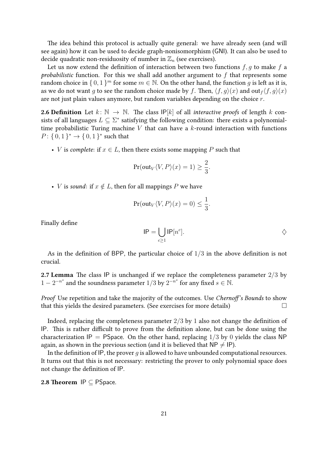The idea behind this protocol is actually quite general: we have already seen (and will see again) how it can be used to decide graph-nonisomorphism (GNI). It can also be used to decide quadratic non-residuosity of number in  $\mathbb{Z}_n$  (see exercises).

Let us now extend the definition of interaction between two functions  $f, g$  to make  $f$  a probabilistic function. For this we shall add another argument to  $f$  that represents some random choice in  $\{0,1\}^m$  for some  $m \in \mathbb{N}$ . On the other hand, the function g is left as it is, as we do not want q to see the random choice made by f. Then,  $\langle f, q \rangle(x)$  and out $f \langle f, q \rangle(x)$ are not just plain values anymore, but random variables depending on the choice r.

**2.6 Definition** Let  $k: \mathbb{N} \to \mathbb{N}$ . The class  $\mathsf{IP}[k]$  of all *interactive proofs* of length k consists of all languages  $L \subseteq \Sigma^*$  satisfying the following condition: there exists a polynomialtime probabilistic Turing machine  $V$  that can have a  $k$ -round interaction with functions  $P: \{0,1\}^* \to \{0,1\}^*$  such that

• *V* is *complete:* if  $x \in L$ , then there exists some mapping *P* such that

$$
\Pr(\text{out}_V \langle V, P \rangle(x) = 1) \ge \frac{2}{3}.
$$

• *V* is sound: if  $x \notin L$ , then for all mappings *P* we have

$$
\Pr(\text{out}_V \langle V, P \rangle(x) = 0) \le \frac{1}{3}.
$$

Finally define

$$
IP = \bigcup_{c \ge 1} IP[n^c]. \qquad \diamondsuit
$$

As in the definition of BPP, the particular choice of  $1/3$  in the above definition is not crucial.

**2.7 Lemma** The class IP is unchanged if we replace the completeness parameter  $2/3$  by  $1 - 2^{-n^s}$  and the soundness parameter  $1/3$  by  $2^{-n^s}$  for any fixed  $s \in \mathbb{N}$ .

Proof Use repetition and take the majority of the outcomes. Use Chernoff's Bounds to show that this yields the desired parameters. (See exercises for more details)  $\Box$ 

Indeed, replacing the completeness parameter  $2/3$  by 1 also not change the definition of IP. This is rather difficult to prove from the definition alone, but can be done using the characterization IP = PSpace. On the other hand, replacing  $1/3$  by 0 yields the class NP again, as shown in the previous section (and it is believed that  $NP \neq IP$ ).

In the definition of IP, the prover  $q$  is allowed to have unbounded computational resources. It turns out that this is not necessary: restricting the prover to only polynomial space does not change the definition of IP.

2.8 Theorem  $IP \subseteq P$ Space.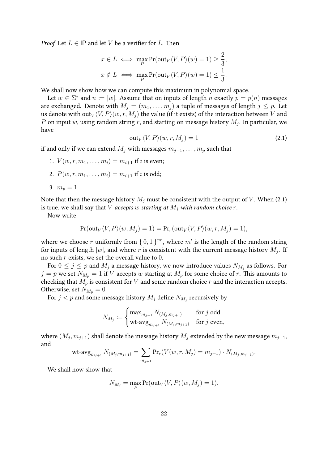*Proof* Let  $L \in \mathsf{IP}$  and let V be a verifier for L. Then

$$
x \in L \iff \max_{P} \Pr(\text{out}_V \langle V, P \rangle(w) = 1) \ge \frac{2}{3},
$$
  

$$
x \notin L \iff \max_{P} \Pr(\text{out}_V \langle V, P \rangle(w) = 1) \le \frac{1}{3}.
$$

We shall now show how we can compute this maximum in polynomial space.

Let  $w \in \Sigma^*$  and  $n \coloneqq |w|$ . Assume that on inputs of length n exactly  $p = p(n)$  messages are exchanged. Denote with  $M_i = (m_1, \ldots, m_i)$  a tuple of messages of length  $j \leq p$ . Let us denote with out $\sqrt{\langle V, P \rangle(w, r, M_i)}$  the value (if it exists) of the interaction between V and P on input w, using random string r, and starting on message history  $M_j$ . In particular, we have

$$
out_V \langle V, P \rangle (w, r, M_j) = 1 \tag{2.1}
$$

<span id="page-21-0"></span>if and only if we can extend  $M_i$  with messages  $m_{i+1}, \ldots, m_p$  such that

- 1.  $V(w, r, m_1, \ldots, m_i) = m_{i+1}$  if *i* is even;
- 2.  $P(w, r, m_1, \ldots, m_i) = m_{i+1}$  if *i* is odd;

$$
3. \, m_p=1.
$$

Note that then the message history  $M_i$  must be consistent with the output of V. When [\(2.1\)](#page-21-0) is true, we shall say that V accepts w starting at  $M_i$  with random choice r.

Now write

$$
Pr(\text{out}_V \langle V, P \rangle (w, M_j) = 1) = Pr_r(\text{out}_V \langle V, P \rangle (w, r, M_j) = 1),
$$

where we choose r uniformly from  $\{0,1\}^{m'}$ , where  $m'$  is the length of the random string for inputs of length  $|w|$ , and where  $r$  is consistent with the current message history  $M_j$ . If no such  $r$  exists, we set the overall value to  $0$ .

For  $0\leq j\leq p$  and  $M_j$  a message history, we now introduce values  $N_{M_j}$  as follows. For  $j = p$  we set  $N_{M_p} = 1$  if V accepts w starting at  $M_p$  for some choice of r. This amounts to checking that  $M_p$  is consistent for V and some random choice r and the interaction accepts. Otherwise, set  $N_{M_p} = 0$ .

For  $j < p$  and some message history  $M_j$  define  $N_{M_j}$  recursively by

$$
N_{M_j} \coloneqq \begin{cases} \max_{m_{j+1}} N_{(M_j,m_{j+1})} & \text{for $j$ odd} \\ \mathsf{wt\text{-}avg}_{m_{j+1}} N_{(M_j,m_{j+1})} & \text{for $j$ even,} \end{cases}
$$

where  $(M_j, m_{j+1})$  shall denote the message history  $M_j$  extended by the new message  $m_{j+1},$ and

wt-avg<sub>*m*<sub>j+1</sub></sub> 
$$
N_{(M_j,m_{j+1})} = \sum_{m_{j+1}} Pr_r(V(w,r,M_j) = m_{j+1}) \cdot N_{(M_j,m_{j+1})}
$$
.

We shall now show that

$$
N_{M_j} = \max_P \Pr(\text{out}_V \langle V, P \rangle (w, M_j) = 1).
$$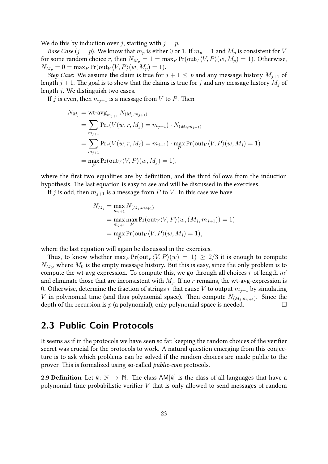We do this by induction over j, starting with  $j = p$ .

*Base Case (j = p)*. We know that  $m_p$  is either 0 or 1. If  $m_p = 1$  and  $M_p$  is consistent for V for some random choice r, then  $N_{M_p} = 1 = \max_P \Pr(\text{out}_V \langle V, P \rangle (w, M_p) = 1)$ . Otherwise,  $N_{M_p} = 0 = \max_P \Pr(\text{out}_V \langle V, P \rangle (w, M_p) = 1).$ 

Step Case: We assume the claim is true for  $j + 1 \leq p$  and any message history  $M_{j+1}$  of length  $j + 1$ . The goal is to show that the claims is true for j and any message history  $M_j$  of length j. We distinguish two cases.

If j is even, then  $m_{i+1}$  is a message from V to P. Then

$$
N_{M_j} = \text{wt-avg}_{m_{j+1}} N_{(M_j, m_{j+1})}
$$
  
= 
$$
\sum_{m_{j+1}} \Pr_r(V(w, r, M_j) = m_{j+1}) \cdot N_{(M_j, m_{j+1})}
$$
  
= 
$$
\sum_{m_{j+1}} \Pr_r(V(w, r, M_j) = m_{j+1}) \cdot \max_P \Pr(\text{out}_V \langle V, P \rangle (w, M_j) = 1)
$$
  
= 
$$
\max_P \Pr(\text{out}_V \langle V, P \rangle (w, M_j) = 1),
$$

where the first two equalities are by definition, and the third follows from the induction hypothesis. The last equation is easy to see and will be discussed in the exercises.

If j is odd, then  $m_{i+1}$  is a message from P to V. In this case we have

$$
N_{M_j} = \max_{m_{j+1}} N_{(M_j, m_{j+1})}
$$
  
= max max Pr(out<sub>V</sub>  $\langle V, P \rangle$   $(w, (M_j, m_{j+1})) = 1)$   
= max Pr(out<sub>V</sub>  $\langle V, P \rangle$   $(w, M_j) = 1),$ 

where the last equation will again be discussed in the exercises.

Thus, to know whether  $\max_P \Pr(\text{out}_V \langle V, P \rangle(w) = 1) \geq 2/3$  it is enough to compute  $N_{M_0}$ , where  $M_0$  is the empty message history. But this is easy, since the only problem is to compute the wt-avg expression. To compute this, we go through all choices r of length  $m'$ and eliminate those that are inconsistent with  $M_j$ . If no  $r$  remains, the wt-avg-expression is 0. Otherwise, determine the fraction of strings  $r$  that cause  $V$  to output  $m_{j+1}$  by simulating V in polynomial time (and thus polynomial space). Then compute  $N_{(M_j,m_{j+1})}$ . Since the depth of the recursion is  $p$  (a polynomial), only polynomial space is needed.

## <span id="page-22-0"></span>**2.3 Public Coin Protocols**

It seems as if in the protocols we have seen so far, keeping the random choices of the verifier secret was crucial for the protocols to work. A natural question emerging from this conjecture is to ask which problems can be solved if the random choices are made public to the prover. This is formalized using so-called public-coin protocols.

**2.9 Definition** Let  $k: \mathbb{N} \to \mathbb{N}$ . The class AM[k] is the class of all languages that have a polynomial-time probabilistic verifier  $V$  that is only allowed to send messages of random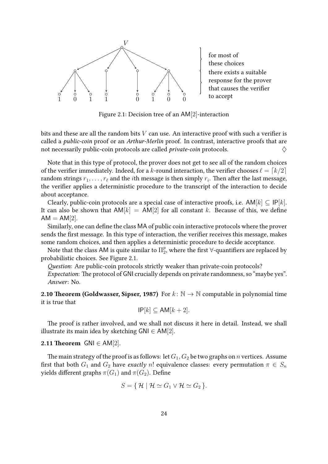

<span id="page-23-0"></span>Figure 2.1: Decision tree of an AM[2]-interaction

bits and these are all the random bits  $V$  can use. An interactive proof with such a verifier is called a public-coin proof or an Arthur-Merlin proof. In contrast, interactive proofs that are not necessarily public-coin protocols are called *private-coin* protocols.  $\diamondsuit$ 

Note that in this type of protocol, the prover does not get to see all of the random choices of the verifier immediately. Indeed, for a k-round interaction, the verifier chooses  $\ell = \lceil k/2 \rceil$ random strings  $r_1, \ldots, r_\ell$  and the  $i$ th message is then simply  $r_i.$  Then after the last message, the verifier applies a deterministic procedure to the transcript of the interaction to decide about acceptance.

Clearly, public-coin protocols are a special case of interactive proofs, i.e.  $AM[k] \subseteq |P[k]|$ . It can also be shown that  $AM[k] = AM[2]$  for all constant k. Because of this, we define  $AM = AM[2]$ .

Similarly, one can define the class MA of public coin interactive protocols where the prover sends the first message. In this type of interaction, the verifier receives this message, makes some random choices, and then applies a deterministic procedure to decide acceptance.

Note that the class AM is quite similar to  $\Pi_2^p$  $_2^p$ , where the first ∀-quantifiers are replaced by probabilistic choices. See Figure [2.1.](#page-23-0)

Question: Are public-coin protocols strictly weaker than private-coin protocols?

Expectation: The protocol of GNI crucially depends on private randomness, so "maybe yes". Answer: No.

2.10 Theorem (Goldwasser, Sipser, 1987) For  $k : \mathbb{N} \to \mathbb{N}$  computable in polynomial time it is true that

$$
IP[k] \subseteq AM[k+2].
$$

The proof is rather involved, and we shall not discuss it here in detail. Instead, we shall illustrate its main idea by sketching  $GNI ∈ AM[2]$ .

#### <span id="page-23-1"></span>2.11 Theorem  $GNI \in AM[2]$ .

The main strategy of the proof is as follows: let  $G_1, G_2$  be two graphs on *n* vertices. Assume first that both  $G_1$  and  $G_2$  have exactly n! equivalence classes: every permutation  $\pi \in S_n$ yields different graphs  $\pi(G_1)$  and  $\pi(G_2)$ . Define

$$
S = \{ \mathcal{H} \mid \mathcal{H} \simeq G_1 \vee \mathcal{H} \simeq G_2 \}.
$$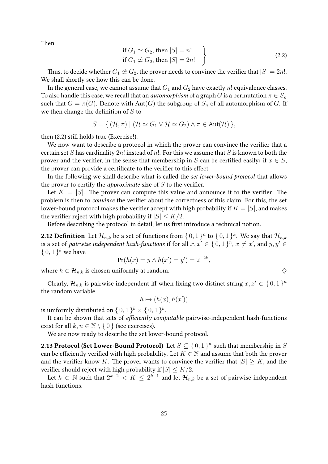<span id="page-24-0"></span>Then

if 
$$
G_1 \simeq G_2
$$
, then  $|S| = n!$   
if  $G_1 \not\cong G_2$ , then  $|S| = 2n!$  (2.2)

Thus, to decide whether  $G_1 \not\cong G_2$ , the prover needs to convince the verifier that  $|S| = 2n!$ . We shall shortly see how this can be done.

In the general case, we cannot assume that  $G_1$  and  $G_2$  have exactly n! equivalence classes. To also handle this case, we recall that an *automorphism* of a graph G is a permutation  $\pi \in S_n$ such that  $G = \pi(G)$ . Denote with Aut(G) the subgroup of  $S_n$  of all automorphism of G. If we then change the definition of  $S$  to

$$
S = \{ (\mathcal{H}, \pi) \mid (\mathcal{H} \simeq G_1 \vee \mathcal{H} \simeq G_2) \wedge \pi \in \text{Aut}(\mathcal{H}) \},
$$

then [\(2.2\)](#page-24-0) still holds true (Exercise!).

We now want to describe a protocol in which the prover can convince the verifier that a certain set S has cardinality  $2n!$  instead of n!. For this we assume that S is known to both the prover and the verifier, in the sense that membership in S can be certified easily: if  $x \in S$ , the prover can provide a certificate to the verifier to this effect.

In the following we shall describe what is called the set lower-bound protocol that allows the prover to certify the *approximate* size of  $S$  to the verifier.

Let  $K = |S|$ . The prover can compute this value and announce it to the verifier. The problem is then to convince the verifier about the correctness of this claim. For this, the set lower-bound protocol makes the verifier accept with high probability if  $K = |S|$ , and makes the verifier reject with high probability if  $|S| \leq K/2$ .

Before describing the protocol in detail, let us first introduce a technical notion.

**2.12 Definition** Let  $\mathcal{H}_{n,k}$  be a set of functions from  $\set{0,1}^n$  to  $\set{0,1}^k$ . We say that  $\mathcal{H}_{n,k}$ is a set of *pairwise independent hash-functions* if for all  $x, x' \in \set{0, 1}^n, x \neq x'$ , and  $y, y' \in$  $\{0,1\}^k$  we have

$$
Pr(h(x) = y \land h(x') = y') = 2^{-2k},
$$

where  $h \in \mathcal{H}_{n,k}$  is chosen uniformly at random.  $\diamondsuit$ 

Clearly,  $\mathcal{H}_{n,k}$  is pairwise independent iff when fixing two distinct string  $x, x' \in \{0, 1\}^n$ the random variable

$$
h \mapsto (h(x), h(x'))
$$

is uniformly distributed on  $\set{0,1}^k \times \set{0,1}^k.$ 

It can be shown that sets of efficiently computable pairwise-independent hash-functions exist for all  $k, n \in \mathbb{N} \setminus \{0\}$  (see exercises).

We are now ready to describe the set lower-bound protocol.

**2.13 Protocol (Set Lower-Bound Protocol)** Let  $S \subseteq \{0,1\}^n$  such that membership in S can be efficiently verified with high probability. Let  $K \in \mathbb{N}$  and assume that both the prover and the verifier know K. The prover wants to convince the verifier that  $|S| \geq K$ , and the verifier should reject with high probability if  $|S| \leq K/2$ .

Let  $k\,\in\,\mathbb{N}$  such that  $2^{k-2}\,<\,K\,\leq\,2^{k-1}$  and let  $\mathcal{H}_{n,k}$  be a set of pairwise independent hash-functions.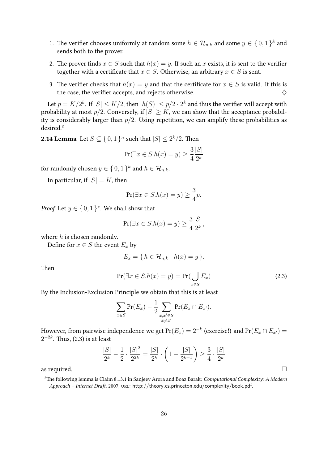- 1. The verifier chooses uniformly at random some  $h \in \mathcal{H}_{n,k}$  and some  $y \in \{0,1\}^k$  and sends both to the prover.
- 2. The prover finds  $x \in S$  such that  $h(x) = y$ . If such an x exists, it is sent to the verifier together with a certificate that  $x \in S$ . Otherwise, an arbitrary  $x \in S$  is sent.
- 3. The verifier checks that  $h(x) = y$  and that the certificate for  $x \in S$  is valid. If this is the case, the verifier accepts, and rejects otherwise.  $\Diamond$

Let  $p=K/2^k.$  If  $|S|\leq K/2,$  then  $|h(S)|\leq p/2\cdot 2^k$  and thus the verifier will accept with probability at most  $p/2$ . Conversely, if  $|S| > K$ , we can show that the acceptance probability is considerably larger than  $p/2$ . Using repetition, we can amplify these probabilities as desired.[2](#page-25-0)

**2.14 Lemma** Let  $S \subseteq \{0,1\}^n$  such that  $|S| \leq 2^k/2$ . Then

$$
\Pr(\exists x \in S.h(x) = y) \ge \frac{3}{4} \frac{|S|}{2^k}
$$

for randomly chosen  $y \in \set{0,1}^k$  and  $h \in \mathcal{H}_{n,k}.$ 

In particular, if  $|S| = K$ , then

$$
\Pr(\exists x \in S.h(x) = y) \ge \frac{3}{4}p.
$$

*Proof* Let  $y \in \{0, 1\}^*$ . We shall show that

$$
\Pr(\exists x \in S.h(x) = y) \ge \frac{3}{4} \frac{|S|}{2^k},
$$

where  $h$  is chosen randomly.

Define for  $x \in S$  the event  $E_x$  by

$$
E_x = \{ h \in \mathcal{H}_{n,k} \mid h(x) = y \}.
$$

<span id="page-25-1"></span>Then

$$
Pr(\exists x \in S.h(x) = y) = Pr(\bigcup_{x \in S} E_x)
$$
\n(2.3)

By the Inclusion-Exclusion Principle we obtain that this is at least

$$
\sum_{x \in S} \Pr(E_x) - \frac{1}{2} \sum_{\substack{x, x' \in S \\ x \neq x'}} \Pr(E_x \cap E_{x'}).
$$

However, from pairwise independence we get  $\Pr(E_x)=2^{-k}$  (exercise!) and  $\Pr(E_x\cap E_{x'})=$  $2^{-2k}.$  Thus, [\(2.3\)](#page-25-1) is at least

$$
\frac{|S|}{2^k} - \frac{1}{2} \cdot \frac{|S|^2}{2^{2k}} = \frac{|S|}{2^k} \cdot \left(1 - \frac{|S|}{2^{k+1}}\right) \ge \frac{3}{4} \cdot \frac{|S|}{2^k}
$$
as required.

<span id="page-25-0"></span><sup>&</sup>lt;sup>2</sup>The following lemma is Claim 8.13.1 in Sanjeev Arora and Boaz Barak: Computational Complexity: A Modern Approach – Internet Draft, 2007, URL: <http://theory.cs.princeton.edu/complexity/book.pdf>.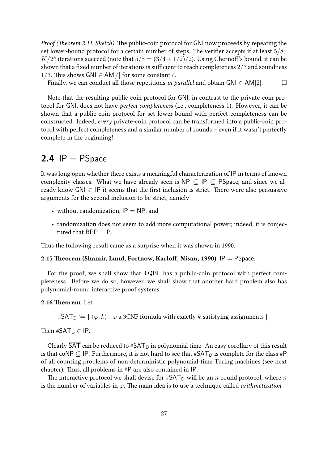Proof (Theorem [2.11,](#page-23-1) Sketch) The public-coin protocol for GNI now proceeds by repeating the set lower-bound protocol for a certain number of steps. The verifier accepts if at least  $5/8 \cdot$  $K/2^k$  iterations succeed (note that  $5/8 = (3/4 + 1/2)/2$ ). Using Chernoff's bound, it can be shown that a fixed number of iterations is sufficient to reach completeness 2/3 and soundness 1/3. This shows GNI  $\in$  AM[ $\ell$ ] for some constant  $\ell$ .

Finally, we can conduct all those repetitions in parallel and obtain GNI  $\in AM[2]$ .  $\Box$ 

Note that the resulting public-coin protocol for GNI, in contrast to the private-coin protocol for GNI, does not have perfect completeness (i.e., completeness 1). However, it can be shown that a public-coin protocol for set lower-bound with perfect completeness can be constructed. Indeed, every private-coin protocol can be transformed into a public-coin protocol with perfect completeness and a similar number of rounds – even if it wasn't perfectly complete in the beginning!

## <span id="page-26-0"></span>**2.4**  $IP = PSpace$

It was long open whether there exists a meaningful characterization of IP in terms of known complexity classes. What we have already seen is  $\mathsf{NP} \subseteq \mathsf{IP} \subseteq \mathsf{PSpace}$ , and since we already know  $GNI \in IP$  it seems that the first inclusion is strict. There were also persuasive arguments for the second inclusion to be strict, namely

- without randomization,  $IP = NP$ , and
- randomization does not seem to add more computational power; indeed, it is conjectured that  $BPP = P$ .

Thus the following result came as a surprise when it was shown in 1990.

#### 2.15 Theorem (Shamir, Lund, Fortnow, Karloff, Nisan, 1990)  $IP = PS$ pace.

For the proof, we shall show that TQBF has a public-coin protocol with perfect completeness. Before we do so, however, we shall show that another hard problem also has polynomial-round interactive proof systems.

#### 2.16 Theorem Let

#SAT<sub>D</sub> := { $\langle \varphi, k \rangle$  |  $\varphi$  a 3CNF formula with exactly k satisfying assignments }.

Then  $#SAT_D \in IP$ .

Clearly SAT can be reduced to  $*SAT_D$  in polynomial time. An easy corollary of this result is that coNP  $\subseteq$  IP. Furthermore, it is not hard to see that #SAT<sub>D</sub> is complete for the class #P of all counting problems of non-deterministic polynomial-time Turing machines (see next chapter). Thus, all problems in #P are also contained in IP.

The interactive protocol we shall devise for #SAT<sub>D</sub> will be an *n*-round protocol, where *n* is the number of variables in  $\varphi$ . The main idea is to use a technique called *arithmetization*.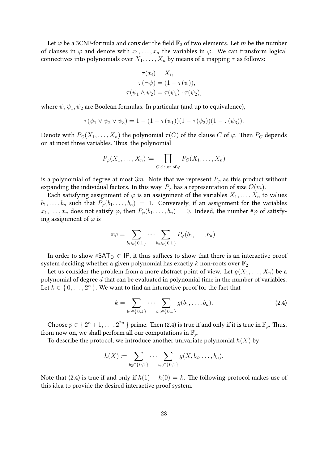Let  $\varphi$  be a 3CNF-formula and consider the field  $\mathbb{F}_2$  of two elements. Let m be the number of clauses in  $\varphi$  and denote with  $x_1, \ldots, x_n$  the variables in  $\varphi$ . We can transform logical connectives into polynomials over  $X_1, \ldots, X_n$  by means of a mapping  $\tau$  as follows:

$$
\tau(x_i) = X_i,
$$
  
\n
$$
\tau(\neg \psi) = (1 - \tau(\psi)),
$$
  
\n
$$
\tau(\psi_1 \land \psi_2) = \tau(\psi_1) \cdot \tau(\psi_2),
$$

where  $\psi$ ,  $\psi_1$ ,  $\psi_2$  are Boolean formulas. In particular (and up to equivalence),

$$
\tau(\psi_1 \vee \psi_2 \vee \psi_3) = 1 - (1 - \tau(\psi_1))(1 - \tau(\psi_2))(1 - \tau(\psi_3)).
$$

Denote with  $P_C(X_1, \ldots, X_n)$  the polynomial  $\tau(C)$  of the clause C of  $\varphi$ . Then  $P_C$  depends on at most three variables. Thus, the polynomial

$$
P_{\varphi}(X_1,\ldots,X_n) \coloneqq \prod_{C \text{ clause of } \varphi} P_C(X_1,\ldots,X_n)
$$

is a polynomial of degree at most 3m. Note that we represent  $P_{\varphi}$  as this product without expanding the individual factors. In this way,  $P_{\varphi}$  has a representation of size  $\mathcal{O}(m)$ .

Each satisfying assignment of  $\varphi$  is an assignment of the variables  $X_1, \ldots, X_n$  to values  $b_1, \ldots, b_n$  such that  $P_\varphi(b_1, \ldots, b_n) = 1$ . Conversely, if an assignment for the variables  $x_1, \ldots, x_n$  does not satisfy  $\varphi$ , then  $P_{\varphi}(b_1, \ldots, b_n) = 0$ . Indeed, the number # $\varphi$  of satisfying assignment of  $\varphi$  is

$$
\#\varphi = \sum_{b_1 \in \{0,1\}} \cdots \sum_{b_n \in \{0,1\}} P_{\varphi}(b_1,\ldots,b_n).
$$

In order to show #SAT<sub>D</sub>  $\in$  IP, it thus suffices to show that there is an interactive proof system deciding whether a given polynomial has exactly k non-roots over  $\mathbb{F}_2$ .

Let us consider the problem from a more abstract point of view. Let  $g(X_1, \ldots, X_n)$  be a polynomial of degree  $d$  that can be evaluated in polynomial time in the number of variables. Let  $k \in \{0, \ldots, 2^n\}$ . We want to find an interactive proof for the fact that

<span id="page-27-0"></span>
$$
k = \sum_{b_1 \in \{0,1\}} \cdots \sum_{b_n \in \{0,1\}} g(b_1, \ldots, b_n).
$$
 (2.4)

Choose  $p \in \{2^n + 1, \ldots, 2^{2n}\}$  prime. Then [\(2.4\)](#page-27-0) is true if and only if it is true in  $\mathbb{F}_p$ . Thus, from now on, we shall perform all our computations in  $\mathbb{F}_p$ .

To describe the protocol, we introduce another univariate polynomial  $h(X)$  by

$$
h(X) := \sum_{b_2 \in \{0,1\}} \cdots \sum_{b_n \in \{0,1\}} g(X, b_2, \ldots, b_n).
$$

Note that [\(2.4\)](#page-27-0) is true if and only if  $h(1) + h(0) = k$ . The following protocol makes use of this idea to provide the desired interactive proof system.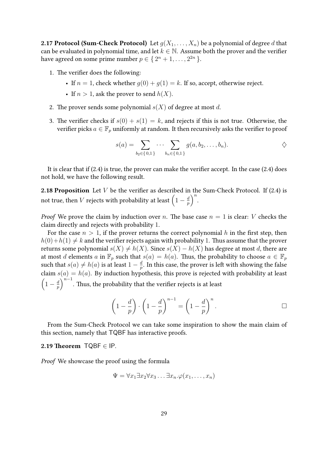**2.17 Protocol (Sum-Check Protocol)** Let  $g(X_1, \ldots, X_n)$  be a polynomial of degree d that can be evaluated in polynomial time, and let  $k \in \mathbb{N}$ . Assume both the prover and the verifier have agreed on some prime number  $p \in \{2^{n}+1,\ldots,2^{2n}\}$ .

- 1. The verifier does the following:
	- If  $n = 1$ , check whether  $g(0) + g(1) = k$ . If so, accept, otherwise reject.
	- If  $n > 1$ , ask the prover to send  $h(X)$ .
- 2. The prover sends some polynomial  $s(X)$  of degree at most d.
- 3. The verifier checks if  $s(0) + s(1) = k$ , and rejects if this is not true. Otherwise, the verifier picks  $a \in \mathbb{F}_p$  uniformly at random. It then recursively asks the verifier to proof

$$
s(a) = \sum_{b_2 \in \{0,1\}} \cdots \sum_{b_n \in \{0,1\}} g(a, b_2, \ldots, b_n).
$$

It is clear that if  $(2.4)$  is true, the prover can make the verifier accept. In the case  $(2.4)$  does not hold, we have the following result.

**2.18 Proposition** Let  $V$  be the verifier as described in the Sum-Check Protocol. If [\(2.4\)](#page-27-0) is not true, then  $V$  rejects with probability at least  $\left(1-\frac{d}{n}\right)$  $\left(\frac{d}{p}\right)^n$ .

*Proof* We prove the claim by induction over n. The base case  $n = 1$  is clear: V checks the claim directly and rejects with probability 1.

For the case  $n > 1$ , if the prover returns the correct polynomial h in the first step, then  $h(0) + h(1) \neq k$  and the verifier rejects again with probability 1. Thus assume that the prover returns some polynomial  $s(X) \neq h(X)$ . Since  $s(X) - h(X)$  has degree at most d, there are at most d elements a in  $\mathbb{F}_p$  such that  $s(a) = h(a)$ . Thus, the probability to choose  $a \in \mathbb{F}_p$ such that  $s(a) \neq h(a)$  is at least  $1 - \frac{d}{n}$  $\frac{d}{p}.$  In this case, the prover is left with showing the false claim  $s(a) = h(a)$ . By induction hypothesis, this prove is rejected with probability at least  $\left(1-\frac{d}{n}\right)$  $\left(\frac{d}{p}\right)^{n-1}$ . Thus, the probability that the verifier rejects is at least

$$
\left(1 - \frac{d}{p}\right) \cdot \left(1 - \frac{d}{p}\right)^{n-1} = \left(1 - \frac{d}{p}\right)^n.
$$

From the Sum-Check Protocol we can take some inspiration to show the main claim of this section, namely that TQBF has interactive proofs.

#### 2.19 Theorem  $TQBF \in IP$ .

Proof We showcase the proof using the formula

$$
\Psi = \forall x_1 \exists x_2 \forall x_3 \dots \exists x_n. \varphi(x_1, \dots, x_n)
$$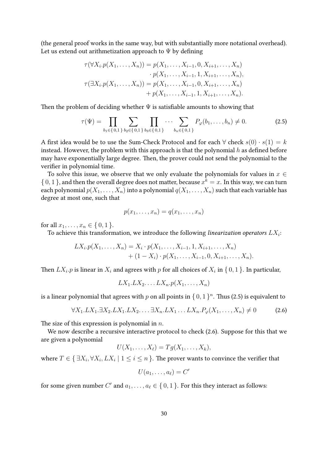(the general proof works in the same way, but with substantially more notational overhead). Let us extend out arithmetization approach to  $\Psi$  by defining

$$
\tau(\forall X_i. p(X_1, ..., X_n)) = p(X_1, ..., X_{i-1}, 0, X_{i+1}, ..., X_n)
$$

$$
\cdot p(X_1, ..., X_{i-1}, 1, X_{i+1}, ..., X_n),
$$

$$
\tau(\exists X_i. p(X_1, ..., X_n)) = p(X_1, ..., X_{i-1}, 0, X_{i+1}, ..., X_n)
$$

$$
+ p(X_1, ..., X_{i-1}, 1, X_{i+1}, ..., X_n).
$$

Then the problem of deciding whether  $\Psi$  is satisfiable amounts to showing that

$$
\tau(\Psi) = \prod_{b_1 \in \{0,1\}} \sum_{b_2 \in \{0,1\}} \prod_{b_3 \in \{0,1\}} \cdots \sum_{b_n \in \{0,1\}} P_{\varphi}(b_1, \ldots, b_n) \neq 0. \tag{2.5}
$$

A first idea would be to use the Sum-Check Protocol and for each  $\forall$  check  $s(0) \cdot s(1) = k$ instead. However, the problem with this approach is that the polynomial  $h$  as defined before may have exponentially large degree. Then, the prover could not send the polynomial to the verifier in polynomial time.

To solve this issue, we observe that we only evaluate the polynomials for values in  $x \in$  $\{0,1\}$ , and then the overall degree does not matter, because  $x^k = x$ . In this way, we can turn each polynomial  $p(X_1, \ldots, X_n)$  into a polynomial  $q(X_1, \ldots, X_n)$  such that each variable has degree at most one, such that

<span id="page-29-0"></span>
$$
p(x_1,\ldots,x_n)=q(x_1,\ldots,x_n)
$$

for all  $x_1, ..., x_n \in \{0, 1\}$ .

To achieve this transformation, we introduce the following *linearization operators*  $LX_i$ :

$$
LX_i \cdot p(X_1, \ldots, X_n) = X_i \cdot p(X_1, \ldots, X_{i-1}, 1, X_{i+1}, \ldots, X_n) + (1 - X_i) \cdot p(X_1, \ldots, X_{i-1}, 0, X_{i+1}, \ldots, X_n).
$$

Then  $L X_i.p$  is linear in  $X_i$  and agrees with  $p$  for all choices of  $X_i$  in  $\set{0,1}$ . In particular,

$$
LX_1.LX_2.\ldots LX_n.p(X_1,\ldots,X_n)
$$

is a linear polynomial that agrees with p on all points in  $\{0,1\}^n$ . Thus [\(2.5\)](#page-29-0) is equivalent to

$$
\forall X_1. LX_1. \exists X_2. LX_1. LX_2. \dots \exists X_n. LX_1 \dots LX_n. P_{\varphi}(X_1, \dots, X_n) \neq 0 \tag{2.6}
$$

The size of this expression is polynomial in  $n$ .

We now describe a recursive interactive protocol to check [\(2.6\)](#page-29-1). Suppose for this that we are given a polynomial

$$
U(X_1,\ldots,X_\ell)=Tg(X_1,\ldots,X_k),
$$

where  $T \in \set{\exists X_i, \forall X_i, LX_i \mid 1 \leq i \leq n}$ . The prover wants to convince the verifier that

<span id="page-29-1"></span>
$$
U(a_1,\ldots,a_\ell)=C'
$$

for some given number  $C'$  and  $a_1, \ldots, a_\ell \in \set{0, 1}$ . For this they interact as follows: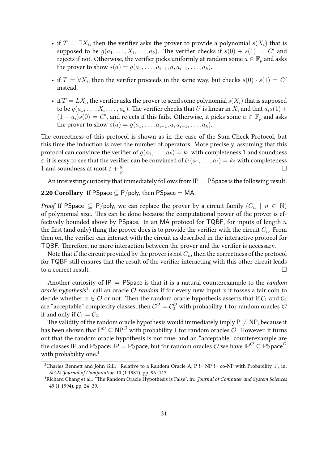- if  $T = \exists X_i$ , then the verifier asks the prover to provide a polynomial  $s(X_i)$  that is supposed to be  $g(a_1, \ldots, X_i, \ldots, a_k)$ . The verifier checks if  $s(0) + s(1) = C'$  and rejects if not. Otherwise, the verifier picks uniformly at random some  $a \in \mathbb{F}_p$  and asks the prover to show  $s(a) = g(a_1, ..., a_{i-1}, a, a_{i+1}, ..., a_k)$ .
- if  $T = \forall X_i$ , then the verifier proceeds in the same way, but checks  $s(0) \cdot s(1) = C'$ instead.
- if  $T = L X_i$ , the verifier asks the prover to send some polynomial  $s(X_i)$  that is supposed to be  $g(a_1,\ldots,X_i,\ldots,a_k)$ . The verifier checks that  $U$  is linear in  $X_i$  and that  $a_is(1)+$  $(1 - a_i)s(0) = C'$ , and rejects if this fails. Otherwise, it picks some  $a \in \mathbb{F}_p$  and asks the prover to show  $s(a) = g(a_1, \ldots, a_{i-1}, a, a_{i+1}, \ldots, a_k)$ .

The correctness of this protocol is shown as in the case of the Sum-Check Protocol, but this time the induction is over the number of operators. More precisely, assuming that this protocol can convince the verifier of  $g(a_1, \ldots, a_k) = k_1$  with completeness 1 and soundness  $\varepsilon$ , it is easy to see that the verifier can be convinced of  $U(a_1, \ldots, a_\ell) = k_2$  with completeness 1 and soundness at most  $\varepsilon + \frac{d}{dt}$ p .

An interesting curiosity that immediately follows from  $IP = PS$  pace is the following result.

#### 2.20 Corollary If PSpace  $\subset P$ /poly, then PSpace = MA.

*Proof* If PSpace  $\subseteq$  P/poly, we can replace the prover by a circuit family  $(C_n \mid n \in \mathbb{N})$ of polynomial size. This can be done because the computational power of the prover is effectively bounded above by PSpace. In an MA protocol for TQBF, for inputs of length  $n$ the first (and only) thing the prover does is to provide the verifier with the circuit  $C_n$ . From then on, the verifier can interact with the circuit as described in the interactive protocol for TQBF. Therefore, no more interaction between the prover and the verifier is necessary.

Note that if the circuit provided by the prover is not  $C_n$ , then the correctness of the protocol for TQBF still ensures that the result of the verifier interacting with this other circuit leads to a correct result.

Another curiosity of  $IP = PS$  pace is that it is a natural counterexample to the *random* oracle hypothesis<sup>[3](#page-30-0)</sup>: call an oracle  $O$  random if for every new input x it tosses a fair coin to decide whether  $x \in \mathcal{O}$  or not. Then the random oracle hypothesis asserts that if  $\mathcal{C}_1$  and  $\mathcal{C}_2$ are "acceptable" complexity classes, then  $\mathcal{C}^\mathcal{O}_1=\mathcal{C}^\mathcal{O}_2$  with probability 1 for random oracles  $\mathcal O$ if and only if  $C_1 = C_2$ .

The validity of the random oracle hypothesis would immediately imply  $P \neq NP$ , because it has been shown that  $\mathsf{P}^{\mathcal{O}}\subsetneq\mathsf{NP}^{\mathcal{O}}$  with probability 1 for random oracles  $\mathcal{O}.$  However, it turns out that the random oracle hypothesis is not true, and an "acceptable" counterexample are the classes IP and PSpace: IP = PSpace, but for random oracles  $\overline{O}$  we have IP<sup> $\overline{O} \subseteq P$ Space $\overline{O}$ </sup> with probability one.<sup>[4](#page-30-1)</sup>

<span id="page-30-0"></span><sup>&</sup>lt;sup>3</sup>Charles Bennett and John Gill: "Relative to a Random Oracle A, P != NP != co-NP with Probability 1", in: SIAM Journal of Computation 10 (1 1981), pp. 96-113.

<span id="page-30-1"></span><sup>&</sup>lt;sup>4</sup>Richard Chang et al.: "The Random Oracle Hypothesis is False", in: Journal of Computer and System Sciences 49 (1 1994), pp. 24–39.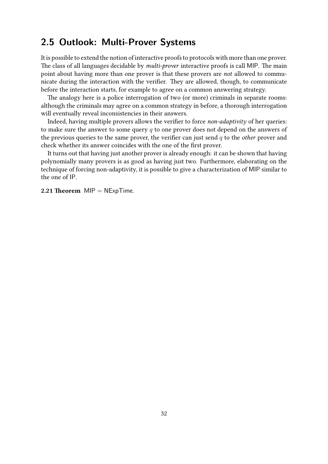## <span id="page-31-0"></span>**2.5 Outlook: Multi-Prover Systems**

It is possible to extend the notion of interactive proofs to protocols with more than one prover. The class of all languages decidable by multi-prover interactive proofs is call MIP. The main point about having more than one prover is that these provers are not allowed to communicate during the interaction with the verifier. They are allowed, though, to communicate before the interaction starts, for example to agree on a common answering strategy.

The analogy here is a police interrogation of two (or more) criminals in separate rooms: although the criminals may agree on a common strategy in before, a thorough interrogation will eventually reveal inconsistencies in their answers.

Indeed, having multiple provers allows the verifier to force non-adaptivity of her queries: to make sure the answer to some query  $q$  to one prover does not depend on the answers of the previous queries to the same prover, the verifier can just send  $q$  to the *other* prover and check whether its answer coincides with the one of the first prover.

It turns out that having just another prover is already enough: it can be shown that having polynomially many provers is as good as having just two. Furthermore, elaborating on the technique of forcing non-adaptivity, it is possible to give a characterization of MIP similar to the one of IP.

2.21 Theorem  $MIP = NExpTime$ .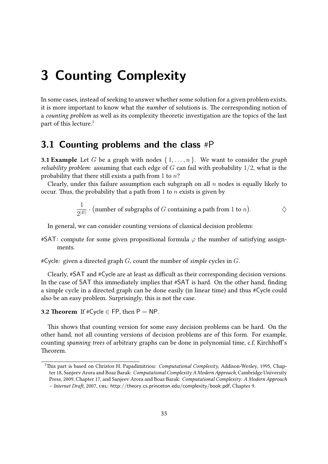## <span id="page-32-0"></span>**3 Counting Complexity**

In some cases, instead of seeking to answer whether some solution for a given problem exists, it is more important to know what the number of solutions is. The corresponding notion of a counting problem as well as its complexity theoretic investigation are the topics of the last part of this lecture.<sup>[1](#page-32-2)</sup>

## <span id="page-32-1"></span>**3.1 Counting problems and the class** #P

**3.1 Example** Let G be a graph with nodes  $\{1, \ldots, n\}$ . We want to consider the graph *reliability problem:* assuming that each edge of  $G$  can fail with probability  $1/2$ , what is the probability that there still exists a path from 1 to  $n$ ?

Clearly, under this failure assumption each subgraph on all  $n$  nodes is equally likely to occur. Thus, the probability that a path from 1 to  $n$  exists is given by

$$
\frac{1}{2^{|E|}}\cdot \big({\rm number\ of\ subgraphs\ of\ }G\ {\rm containing\ a\ path\ from\ 1\ to\ }n\big).\qquad \qquad \diamondsuit
$$

In general, we can consider counting versions of classical decision problems:

- #SAT: compute for some given propositional formula  $\varphi$  the number of satisfying assignments.
- $\#C$ ycle: given a directed graph G, count the number of simple cycles in G.

Clearly, #SAT and #Cycle are at least as difficult as their corresponding decision versions. In the case of SAT this immediately implies that #SAT is hard. On the other hand, finding a simple cycle in a directed graph can be done easily (in linear time) and thus #Cycle could also be an easy problem. Surprisingly, this is not the case.

**3.2 Theorem** If  $\#C$ ycle  $\in$  FP, then P = NP.

This shows that counting version for some easy decision problems can be hard. On the other hand, not all counting versions of decision problems are of this form. For example, counting spanning trees of arbitrary graphs can be done in polynomial time, c.f. Kirchhoff's Theorem.

<span id="page-32-2"></span><sup>&</sup>lt;sup>1</sup>This part is based on Christos H. Papadimitriou: *Computational Complexity*, Addison-Wesley, 1995, Chapter 18, Sanjeev Arora and Boaz Barak: Computational Complexity A Modern Approach, Cambridge University Press, 2009, Chapter 17, and Sanjeev Arora and Boaz Barak: Computational Complexity: A Modern Approach – Internet Draft, 2007, url: <http://theory.cs.princeton.edu/complexity/book.pdf>, Chapter 9.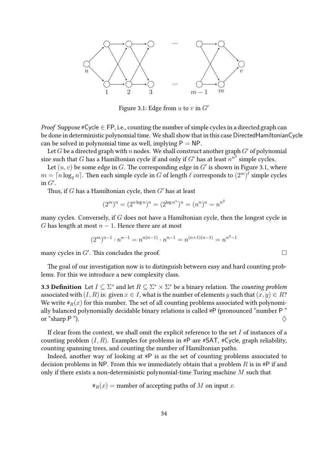

<span id="page-33-0"></span>Figure 3.1: Edge from u to v in  $G'$ 

*Proof* Suppose #Cycle  $\in$  FP, i.e., counting the number of simple cycles in a directed graph can be done in deterministic polynomial time. We shall show that in this case DirectedHamiltonianCycle can be solved in polynomial time as well, implying  $P = NP$ .

Let G be a directed graph with n nodes. We shall construct another graph  $G'$  of polynomial size such that  $G$  has a Hamiltonian cycle if and only if  $G'$  has at least  $n^{n^2}$  simple cycles.

Let  $(u, v)$  be some edge in G. The corresponding edge in  $G'$  is shown in Figure [3.1,](#page-33-0) where  $m = \lceil n \log_2 n \rceil.$  Then each simple cycle in  $G$  of length  $\ell$  corresponds to  $(2^m)^\ell$  simple cycles in  $G'$ .

Thus, if  $G$  has a Hamiltonian cycle, then  $G'$  has at least

$$
(2m)n = (2n log n)n = (2log nn)n = (nn)n = nn2
$$

many cycles. Conversely, if  $G$  does not have a Hamiltonian cycle, then the longest cycle in G has length at most  $n - 1$ . Hence there are at most

$$
(2m)n-1 \cdot nn-1 = nn(n-1) \cdot nn-1 = n(n+1)(n-1) = nn2-1
$$

many cycles in  $G'$ . This concludes the proof.  $\Box$ 

The goal of our investigation now is to distinguish between easy and hard counting problems. For this we introduce a new complexity class.

**3.3 Definition** Let  $I \subseteq \Sigma^*$  and let  $R \subseteq \Sigma^* \times \Sigma^*$  be a binary relation. The counting problem associated with  $(I, R)$  is: given  $x \in I$ , what is the number of elements y such that  $(x, y) \in R$ ? We write  $\#_R(x)$  for this number. The set of all counting problems associated with polynomially balanced polynomially decidable binary relations is called #P (pronounced "number P " or "sharp P").  $\Diamond$ 

If clear from the context, we shall omit the explicit reference to the set  $I$  of instances of a counting problem  $(I, R)$ . Examples for problems in #P are #SAT, #Cycle, graph reliability, counting spanning trees, and counting the number of Hamiltonian paths.

Indeed, another way of looking at #P is as the set of counting problems associated to decision problems in NP. From this we immediately obtain that a problem  $R$  is in #P if and only if there exists a non-deterministic polynomial-time Turing machine  $M$  such that

$$
\#_R(x)
$$
 = number of accepting paths of *M* on input *x*.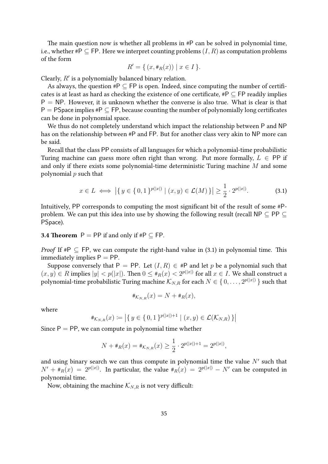The main question now is whether all problems in #P can be solved in polynomial time, i.e., whether #P  $\subseteq$  FP. Here we interpret counting problems  $(I, R)$  as computation problems of the form

$$
R' = \{ (x, \#_R(x)) \mid x \in I \}.
$$

Clearly,  $R'$  is a polynomially balanced binary relation.

As always, the question  $\#P \subseteq FP$  is open. Indeed, since computing the number of certificates is at least as hard as checking the existence of one certificate,  $\#P \subseteq FP$  readily implies  $P = NP$ . However, it is unknown whether the converse is also true. What is clear is that P = PSpace implies  $*P \subseteq FP$ , because counting the number of polynomially long certificates can be done in polynomial space.

We thus do not completely understand which impact the relationship between P and NP has on the relationship between #P and FP. But for another class very akin to NP more can be said.

Recall that the class PP consists of all languages for which a polynomial-time probabilistic Turing machine can guess more often right than wrong. Put more formally,  $L \in PP$  if and only if there exists some polynomial-time deterministic Turing machine M and some polynomial  $p$  such that

<span id="page-34-0"></span>
$$
x \in L \iff \left| \{ y \in \{0, 1\}^{p(|x|)} \mid (x, y) \in \mathcal{L}(M) \} \right| \ge \frac{1}{2} \cdot 2^{p(|x|)}.
$$
 (3.1)

Intuitively, PP corresponds to computing the most significant bit of the result of some #Pproblem. We can put this idea into use by showing the following result (recall NP  $\subseteq$  PP  $\subseteq$ PSpace).

#### **3.4 Theorem**  $P = PP$  if and only if # $P \subseteq FP$ .

*Proof* If  $\#P \subseteq FP$ , we can compute the right-hand value in [\(3.1\)](#page-34-0) in polynomial time. This immediately implies  $P = PP$ .

Suppose conversely that P = PP. Let  $(I, R) \in \mathbb{H}$  and let p be a polynomial such that  $(x, y) \in R$  implies  $|y| < p(|x|)$ . Then  $0 \leq *_R(x) < 2^{p(|x|)}$  for all  $x \in I$ . We shall construct a polynomial-time probabilistic Turing machine  $\mathcal{K}_{N,R}$  for each  $N\in\set{0,\ldots,2^{p(|x|)}}$  such that

$$
\#_{\mathcal{K}_{N,R}}(x) = N + \#_R(x),
$$

where

$$
\#_{\mathcal{K}_{N,R}}(x) := \left| \{ y \in \{0, 1\}^{p(|x|)+1} \mid (x, y) \in \mathcal{L}(\mathcal{K}_{N,R}) \} \right|
$$

Since  $P = PP$ , we can compute in polynomial time whether

$$
N + \#_R(x) = \#_{\mathcal{K}_{N,R}}(x) \ge \frac{1}{2} \cdot 2^{p(|x|) + 1} = 2^{p(|x|)},
$$

and using binary search we can thus compute in polynomial time the value  $N'$  such that  $N' + \#_R(x) = 2^{p(|x|)}$ . In particular, the value  $\#_R(x) = 2^{p(|x|)} - N'$  can be computed in polynomial time.

Now, obtaining the machine  $\mathcal{K}_{N,R}$  is not very difficult: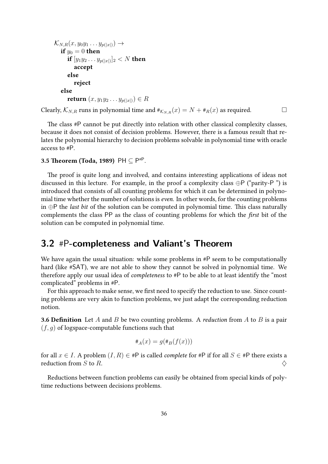```
\mathcal{K}_{N,R}(x, y_0y_1 \ldots y_{p(|x|)}) \rightarrowif y_0 = 0 then
    if [y_1y_2\ldots y_{p(|x|)}]_2 < N then
       accept
    else
       reject
else
    return (x, y_1y_2 \ldots y_{p(|x|)}) \in RClearly, \mathcal{K}_{N,R} runs in polynomial time and \#_{\mathcal{K}_{N,R}}(x) = N + \#_R(x) as required.
```
The class #P cannot be put directly into relation with other classical complexity classes, because it does not consist of decision problems. However, there is a famous result that relates the polynomial hierarchy to decision problems solvable in polynomial time with oracle access to #P.

#### 3.5 Theorem (Toda, 1989) PH  $\subseteq$  P $^{\text{\tiny\#P}}$ .

The proof is quite long and involved, and contains interesting applications of ideas not discussed in this lecture. For example, in the proof a complexity class  $\bigoplus P$  ("parity-P") is introduced that consists of all counting problems for which it can be determined in polynomial time whether the number of solutions is even. In other words, for the counting problems in  $\oplus$ P the *last bit* of the solution can be computed in polynomial time. This class naturally complements the class PP as the class of counting problems for which the first bit of the solution can be computed in polynomial time.

### <span id="page-35-0"></span>**3.2** #P**-completeness and Valiant's Theorem**

We have again the usual situation: while some problems in  $\#P$  seem to be computationally hard (like #SAT), we are not able to show they cannot be solved in polynomial time. We therefore apply our usual idea of completeness to #P to be able to at least identify the "most complicated" problems in #P.

For this approach to make sense, we first need to specify the reduction to use. Since counting problems are very akin to function problems, we just adapt the corresponding reduction notion.

**3.6 Definition** Let A and B be two counting problems. A *reduction* from A to B is a pair  $(f, g)$  of logspace-computable functions such that

$$
\#_A(x) = g(\#_B(f(x)))
$$

for all  $x \in I$ . A problem  $(I, R) \in \mathbb{H}P$  is called *complete* for  $\mathbb{H}P$  if for all  $S \in \mathbb{H}P$  there exists a reduction from S to R.  $\Diamond$ 

Reductions between function problems can easily be obtained from special kinds of polytime reductions between decisions problems.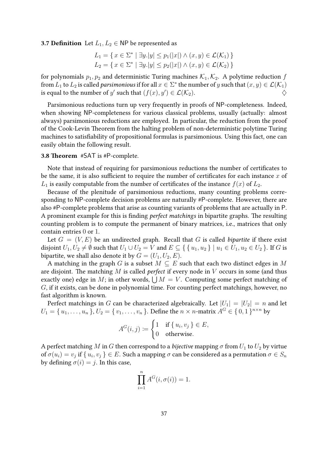#### **3.7 Definition** Let  $L_1, L_2 \in \mathsf{NP}$  be represented as

$$
L_1 = \{ x \in \Sigma^* \mid \exists y. |y| \le p_1(|x|) \land (x, y) \in \mathcal{L}(\mathcal{K}_1) \}
$$
  

$$
L_2 = \{ x \in \Sigma^* \mid \exists y. |y| \le p_2(|x|) \land (x, y) \in \mathcal{L}(\mathcal{K}_2) \}
$$

for polynomials  $p_1, p_2$  and deterministic Turing machines  $\mathcal{K}_1, \mathcal{K}_2$ . A polytime reduction f from  $L_1$  to  $L_2$  is called *parsimonious* if for all  $x\in\Sigma^*$  the number of  $y$  such that  $(x,y)\in\mathcal{L}(\mathcal{K}_1)$ is equal to the number of y' such that  $(f(x), y') \in \mathcal{L}(\mathcal{K}_2).$ 

Parsimonious reductions turn up very frequently in proofs of NP-completeness. Indeed, when showing NP-completeness for various classical problems, usually (actually: almost always) parsimonious reductions are employed. In particular, the reduction from the proof of the Cook-Levin Theorem from the halting problem of non-deterministic polytime Turing machines to satisfiability of propositional formulas is parsimonious. Using this fact, one can easily obtain the following result.

#### 3.8 Theorem #SAT is #P-complete.

Note that instead of requiring for parsimonious reductions the number of certificates to be the same, it is also sufficient to require the number of certificates for each instance  $x$  of  $L_1$  is easily computable from the number of certificates of the instance  $f(x)$  of  $L_2$ .

Because of the plenitude of parsimonious reductions, many counting problems corresponding to NP-complete decision problems are naturally #P-complete. However, there are also #P-complete problems that arise as counting variants of problems that are actually in P. A prominent example for this is finding perfect matchings in bipartite graphs. The resulting counting problem is to compute the permanent of binary matrices, i.e., matrices that only contain entries 0 or 1.

Let  $G = (V, E)$  be an undirected graph. Recall that G is called bipartite if there exist disjoint  $U_1, U_2 \neq \emptyset$  such that  $U_1 \cup U_2 = V$  and  $E \subseteq \{ \{u_1, u_2\} \mid u_1 \in U_1, u_2 \in U_2 \}$ . If G is bipartite, we shall also denote it by  $G = (U_1, U_2, E)$ .

A matching in the graph G is a subset  $M \subseteq E$  such that each two distinct edges in M are disjoint. The matching  $M$  is called *perfect* if every node in  $V$  occurs in some (and thus exactly one) edge in M; in other words,  $\bigcup M = V$ . Computing some perfect matching of G, if it exists, can be done in polynomial time. For counting perfect matchings, however, no fast algorithm is known.

Perfect matchings in G can be characterized algebraically. Let  $|U_1| = |U_2| = n$  and let  $U_1=\set{u_1,\ldots,u_n}$ ,  $U_2=\set{v_1,\ldots,v_n}$ . Define the  $n\times n$ -matrix  $A^G\in\set{0,1}^{n\times n}$  by

$$
A^{G}(i,j) := \begin{cases} 1 & \text{if } \{u_i, v_j\} \in E, \\ 0 & \text{otherwise.} \end{cases}
$$

A perfect matching M in G then correspond to a *bijective* mapping  $\sigma$  from  $U_1$  to  $U_2$  by virtue of  $\sigma(u_i)=v_j$  if  $\set{u_i,v_j}\in E.$  Such a mapping  $\sigma$  can be considered as a permutation  $\sigma\in S_n$ by defining  $\sigma(i) = j$ . In this case,

$$
\prod_{i=1}^{n} A^{G}(i, \sigma(i)) = 1.
$$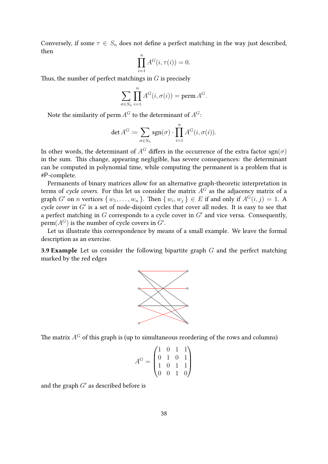Conversely, if some  $\tau \in S_n$  does not define a perfect matching in the way just described, then

$$
\prod_{i=1}^{n} A^{G}(i, \tau(i)) = 0.
$$

Thus, the number of perfect matchings in  $G$  is precisely

$$
\sum_{\sigma \in S_n} \prod_{i=1}^n A^G(i, \sigma(i)) = \text{perm } A^G.
$$

Note the similarity of perm  $A^G$  to the determinant of  $A^G$ :

$$
\det A^G := \sum_{\sigma \in S_n} \operatorname{sgn}(\sigma) \cdot \prod_{i=1}^n A^G(i, \sigma(i)).
$$

In other words, the determinant of  $A^G$  differs in the occurrence of the extra factor sgn( $\sigma$ ) in the sum. This change, appearing negligible, has severe consequences: the determinant can be computed in polynomial time, while computing the permanent is a problem that is #P-complete.

Permanents of binary matrices allow for an alternative graph-theoretic interpretation in terms of cycle covers. For this let us consider the matrix  $\overrightarrow{A}$  as the adjacency matrix of a graph G' on n vertices  $\{w_1, \ldots, w_n\}$ . Then  $\{w_i, w_j\} \in E$  if and only if  $A^G(i, j) = 1$ . A cycle cover in  $G'$  is a set of node-disjoint cycles that cover all nodes. It is easy to see that a perfect matching in  $G$  corresponds to a cycle cover in  $G'$  and vice versa. Consequently,  $\operatorname{perm}(A^G)$  is the number of cycle covers in  $G'.$ 

Let us illustrate this correspondence by means of a small example. We leave the formal description as an exercise.

**3.9 Example** Let us consider the following bipartite graph  $G$  and the perfect matching marked by the red edges



The matrix  $A^G$  of this graph is (up to simultaneous reordering of the rows and columns)

$$
A^G = \begin{pmatrix} 1 & 0 & 1 & 1 \\ 0 & 1 & 0 & 1 \\ 1 & 0 & 1 & 1 \\ 0 & 0 & 1 & 0 \end{pmatrix}
$$

and the graph  $G'$  as described before is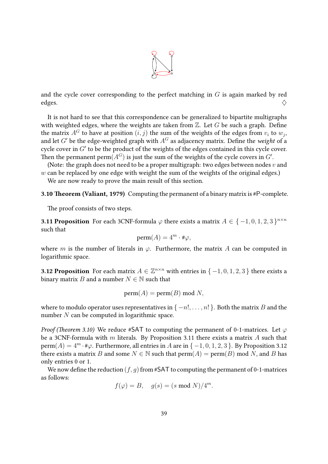

and the cycle cover corresponding to the perfect matching in  $G$  is again marked by red edges.  $\diamondsuit$ 

It is not hard to see that this correspondence can be generalized to bipartite multigraphs with weighted edges, where the weights are taken from  $\mathbb Z$ . Let G be such a graph. Define the matrix  $A^G$  to have at position  $(i,j)$  the sum of the weights of the edges from  $v_i$  to  $w_j,$ and let G' be the edge-weighted graph with  $A<sup>G</sup>$  as adjacency matrix. Define the weight of a cycle cover in  $G'$  to be the product of the weights of the edges contained in this cycle cover. Then the permanent perm $(A^G)$  is just the sum of the weights of the cycle covers in  $G'.$ 

(Note: the graph does not need to be a proper multigraph: two edges between nodes  $v$  and  $w$  can be replaced by one edge with weight the sum of the weights of the original edges.)

We are now ready to prove the main result of this section.

<span id="page-38-0"></span>3.10 Theorem (Valiant, 1979) Computing the permanent of a binary matrix is #P-complete.

The proof consists of two steps.

<span id="page-38-1"></span>**3.11 Proposition** For each 3CNF-formula  $\varphi$  there exists a matrix  $A \in \{-1, 0, 1, 2, 3\}^{n \times n}$ such that

$$
\text{perm}(A) = 4^m \cdot \# \varphi,
$$

where m is the number of literals in  $\varphi$ . Furthermore, the matrix A can be computed in logarithmic space.

<span id="page-38-2"></span>**3.12 Proposition** For each matrix  $A \in \mathbb{Z}^{n \times n}$  with entries in  $\{-1,0,1,2,3\}$  there exists a binary matrix B and a number  $N \in \mathbb{N}$  such that

$$
perm(A) = perm(B) mod N,
$$

where to modulo operator uses representatives in  $\{-n!,\ldots,n!\}$ . Both the matrix B and the number  $N$  can be computed in logarithmic space.

*Proof (Theorem [3.10\)](#page-38-0)* We reduce #SAT to computing the permanent of 0-1-matrices. Let  $\varphi$ be a 3CNF-formula with m literals. By Proposition [3.11](#page-38-1) there exists a matrix A such that  $perm(A) = 4^m \cdot \text{#}\varphi$ . Furthermore, all entries in A are in  $\{-1, 0, 1, 2, 3\}$ . By Proposition [3.12](#page-38-2) there exists a matrix B and some  $N \in \mathbb{N}$  such that  $\text{perm}(A) = \text{perm}(B) \text{ mod } N$ , and B has only entries 0 or 1.

We now define the reduction  $(f, g)$  from #SAT to computing the permanent of 0-1-matrices as follows:

$$
f(\varphi) = B, \quad g(s) = (s \bmod N)/4^m.
$$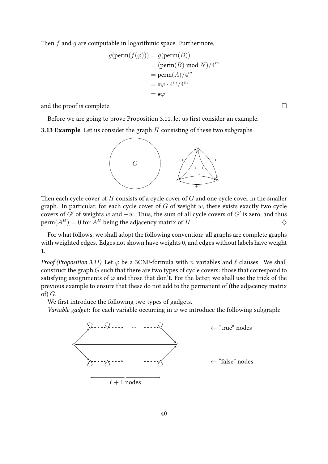Then  $f$  and  $g$  are computable in logarithmic space. Furthermore,

$$
g(\text{perm}(f(\varphi))) = g(\text{perm}(B))
$$
  
=  $(\text{perm}(B) \mod N)/4^m$   
=  $\text{perm}(A)/4^m$   
=  $\#\varphi \cdot 4^m/4^m$   
=  $\#\varphi$ 

and the proof is complete.  $\Box$ 

Before we are going to prove Proposition [3.11,](#page-38-1) let us first consider an example.

**3.13 Example** Let us consider the graph  $H$  consisting of these two subgraphs



Then each cycle cover of  $H$  consists of a cycle cover of  $G$  and one cycle cover in the smaller graph. In particular, for each cycle cover of  $G$  of weight  $w$ , there exists exactly two cycle covers of  $G'$  of weights w and  $-w$ . Thus, the sum of all cycle covers of  $G'$  is zero, and thus  $\operatorname{perm}(A^H) = 0$  for  $A^H$  being the adjacency matrix of H.

For what follows, we shall adopt the following convention: all graphs are complete graphs with weighted edges. Edges not shown have weights 0, and edges without labels have weight 1.

*Proof (Proposition [3.11\)](#page-38-1)* Let  $\varphi$  be a 3CNF-formula with *n* variables and  $\ell$  clauses. We shall construct the graph G such that there are two types of cycle covers: those that correspond to satisfying assignments of  $\varphi$  and those that don't. For the latter, we shall use the trick of the previous example to ensure that these do not add to the permanent of (the adjacency matrix of)  $G$ .

We first introduce the following two types of gadgets.

Variable gadget: for each variable occurring in  $\varphi$  we introduce the following subgraph:

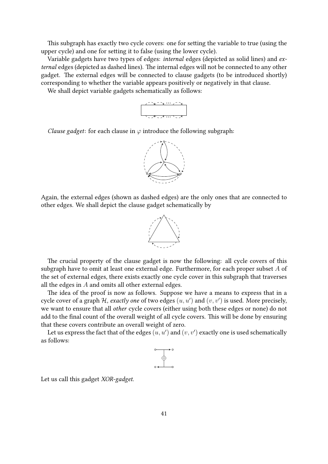This subgraph has exactly two cycle covers: one for setting the variable to true (using the upper cycle) and one for setting it to false (using the lower cycle).

Variable gadgets have two types of edges: internal edges (depicted as solid lines) and external edges (depicted as dashed lines). The internal edges will not be connected to any other gadget. The external edges will be connected to clause gadgets (to be introduced shortly) corresponding to whether the variable appears positively or negatively in that clause.

We shall depict variable gadgets schematically as follows:



Clause gadget: for each clause in  $\varphi$  introduce the following subgraph:



Again, the external edges (shown as dashed edges) are the only ones that are connected to other edges. We shall depict the clause gadget schematically by



The crucial property of the clause gadget is now the following: all cycle covers of this subgraph have to omit at least one external edge. Furthermore, for each proper subset A of the set of external edges, there exists exactly one cycle cover in this subgraph that traverses all the edges in  $A$  and omits all other external edges.

The idea of the proof is now as follows. Suppose we have a means to express that in a cycle cover of a graph H, exactly one of two edges  $(u, u')$  and  $(v, v')$  is used. More precisely, we want to ensure that all other cycle covers (either using both these edges or none) do not add to the final count of the overall weight of all cycle covers. This will be done by ensuring that these covers contribute an overall weight of zero.

Let us express the fact that of the edges  $(u, u')$  and  $(v, v')$  exactly one is used schematically as follows:



Let us call this gadget XOR-gadget.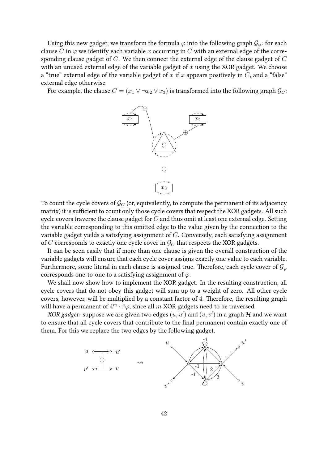Using this new gadget, we transform the formula  $\varphi$  into the following graph  $\mathcal{G}_{\varphi}$ : for each clause C in  $\varphi$  we identify each variable x occurring in C with an external edge of the corresponding clause gadget of C. We then connect the external edge of the clause gadget of C with an unused external edge of the variable gadget of  $x$  using the XOR gadget. We choose a "true" external edge of the variable gadget of x if x appears positively in  $C$ , and a "false" external edge otherwise.

For example, the clause  $C = (x_1 \vee \neg x_2 \vee x_3)$  is transformed into the following graph  $\mathcal{G}_C$ :



To count the cycle covers of  $\mathcal{G}_C$  (or, equivalently, to compute the permanent of its adjacency matrix) it is sufficient to count only those cycle covers that respect the XOR gadgets. All such cycle covers traverse the clause gadget for  $C$  and thus omit at least one external edge. Setting the variable corresponding to this omitted edge to the value given by the connection to the variable gadget yields a satisfying assignment of C. Conversely, each satisfying assignment of  $C$  corresponds to exactly one cycle cover in  $\mathcal{G}_C$  that respects the XOR gadgets.

It can be seen easily that if more than one clause is given the overall construction of the variable gadgets will ensure that each cycle cover assigns exactly one value to each variable. Furthermore, some literal in each clause is assigned true. Therefore, each cycle cover of  $\mathcal{G}_{\varphi}$ corresponds one-to-one to a satisfying assignment of  $\varphi$ .

We shall now show how to implement the XOR gadget. In the resulting construction, all cycle covers that do not obey this gadget will sum up to a weight of zero. All other cycle covers, however, will be multiplied by a constant factor of 4. Therefore, the resulting graph will have a permanent of  $4^m \cdot \text{\#}\varphi$ , since all  $m$  XOR gadgets need to be traversed.

XOR gadget: suppose we are given two edges  $(u, u')$  and  $(v, v')$  in a graph H and we want to ensure that all cycle covers that contribute to the final permanent contain exactly one of them. For this we replace the two edges by the following gadget.

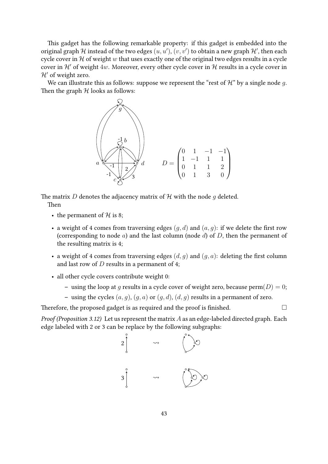This gadget has the following remarkable property: if this gadget is embedded into the original graph  ${\mathcal H}$  instead of the two edges  $(u,u'),(v,v')$  to obtain a new graph  ${\mathcal H}',$  then each cycle cover in  $H$  of weight w that uses exactly one of the original two edges results in a cycle cover in  $\mathcal{H}'$  of weight 4w. Moreover, every other cycle cover in  $\mathcal{H}$  results in a cycle cover in  $\mathcal{H}'$  of weight zero.

We can illustrate this as follows: suppose we represent the "rest of  $\mathcal{H}$ " by a single node q. Then the graph  $H$  looks as follows:



The matrix D denotes the adjacency matrix of  $H$  with the node q deleted. Then

- the permanent of  $H$  is 8;
- a weight of 4 comes from traversing edges  $(q, d)$  and  $(a, q)$ : if we delete the first row (corresponding to node  $a$ ) and the last column (node  $d$ ) of  $D$ , then the permanent of the resulting matrix is 4;
- a weight of 4 comes from traversing edges  $(d, q)$  and  $(q, a)$ : deleting the first column and last row of  $D$  results in a permanent of 4;
- all other cycle covers contribute weight 0:
	- using the loop at q results in a cycle cover of weight zero, because  $\text{perm}(D) = 0$ ;
	- using the cycles  $(a, g)$ ,  $(g, a)$  or  $(g, d)$ ,  $(d, g)$  results in a permanent of zero.

Therefore, the proposed gadget is as required and the proof is finished.  $\Box$ 

*Proof (Proposition [3.12\)](#page-38-2)* Let us represent the matrix  $A$  as an edge-labeled directed graph. Each edge labeled with 2 or 3 can be replace by the following subgraphs: